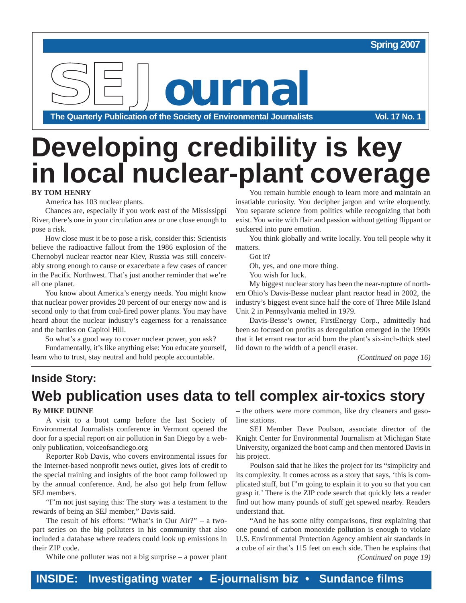#### **Spring 2007**

**SEJournal**

**The Quarterly Publication of the Society of Environmental Journalists Vol. 17 No. 1**

# **Developing credibility is key in local nuclear-plant coverage**

#### **BY TOM HENRY**

America has 103 nuclear plants.

Chances are, especially if you work east of the Mississippi River, there's one in your circulation area or one close enough to pose a risk.

How close must it be to pose a risk, consider this: Scientists believe the radioactive fallout from the 1986 explosion of the Chernobyl nuclear reactor near Kiev, Russia was still conceivably strong enough to cause or exacerbate a few cases of cancer in the Pacific Northwest. That's just another reminder that we're all one planet.

You know about America's energy needs. You might know that nuclear power provides 20 percent of our energy now and is second only to that from coal-fired power plants. You may have heard about the nuclear industry's eagerness for a renaissance and the battles on Capitol Hill.

So what's a good way to cover nuclear power, you ask?

Fundamentally, it's like anything else: You educate yourself, learn who to trust, stay neutral and hold people accountable.

You remain humble enough to learn more and maintain an insatiable curiosity. You decipher jargon and write eloquently. You separate science from politics while recognizing that both exist. You write with flair and passion without getting flippant or suckered into pure emotion.

You think globally and write locally. You tell people why it matters.

Got it?

Oh, yes, and one more thing.

You wish for luck.

My biggest nuclear story has been the near-rupture of northern Ohio's Davis-Besse nuclear plant reactor head in 2002, the industry's biggest event since half the core of Three Mile Island Unit 2 in Pennsylvania melted in 1979.

Davis-Besse's owner, FirstEnergy Corp., admittedly had been so focused on profits as deregulation emerged in the 1990s that it let errant reactor acid burn the plant's six-inch-thick steel lid down to the width of a pencil eraser.

*(Continued on page 16)*

## **Inside Story: Web publication uses data to tell complex air-toxics story**

#### **By MIKE DUNNE**

A visit to a boot camp before the last Society of Environmental Journalists conference in Vermont opened the door for a special report on air pollution in San Diego by a webonly publication, voiceofsandiego.org

Reporter Rob Davis, who covers environmental issues for the Internet-based nonprofit news outlet, gives lots of credit to the special training and insights of the boot camp followed up by the annual conference. And, he also got help from fellow SEJ members.

"I"m not just saying this: The story was a testament to the rewards of being an SEJ member," Davis said.

The result of his efforts: "What's in Our Air?" – a twopart series on the big polluters in his community that also included a database where readers could look up emissions in their ZIP code.

While one polluter was not a big surprise – a power plant

– the others were more common, like dry cleaners and gasoline stations.

SEJ Member Dave Poulson, associate director of the Knight Center for Environmental Journalism at Michigan State University, organized the boot camp and then mentored Davis in his project.

Poulson said that he likes the project for its "simplicity and its complexity. It comes across as a story that says, 'this is complicated stuff, but I"m going to explain it to you so that you can grasp it.' There is the ZIP code search that quickly lets a reader find out how many pounds of stuff get spewed nearby. Readers understand that.

"And he has some nifty comparisons, first explaining that one pound of carbon monoxide pollution is enough to violate U.S. Environmental Protection Agency ambient air standards in a cube of air that's 115 feet on each side. Then he explains that *(Continued on page 19)*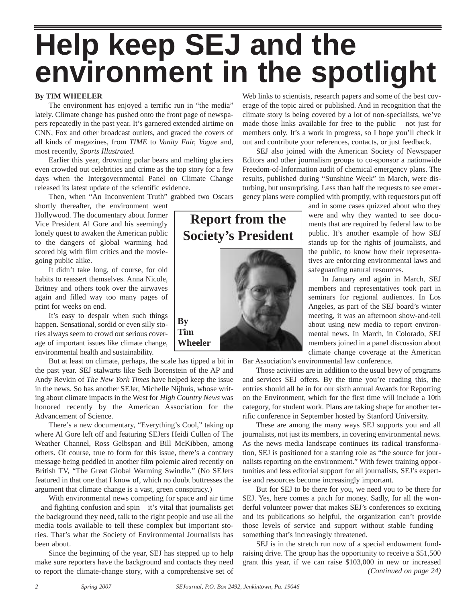# **Help keep SEJ and the environment in the spotlight**

#### **By TIM WHEELER**

The environment has enjoyed a terrific run in "the media" lately. Climate change has pushed onto the front page of newspapers repeatedly in the past year. It's garnered extended airtime on CNN, Fox and other broadcast outlets, and graced the covers of all kinds of magazines, from *TIME* to *Vanity Fair, Vogue* and, most recently, *Sports Illustrated.* 

Earlier this year, drowning polar bears and melting glaciers even crowded out celebrities and crime as the top story for a few days when the Intergovernmental Panel on Climate Change released its latest update of the scientific evidence.

Then, when "An Inconvenient Truth" grabbed two Oscars

shortly thereafter, the environment went Hollywood. The documentary about former Vice President Al Gore and his seemingly lonely quest to awaken the American public to the dangers of global warming had scored big with film critics and the moviegoing public alike.

It didn't take long, of course, for old habits to reassert themselves. Anna Nicole, Britney and others took over the airwaves again and filled way too many pages of print for weeks on end.

It's easy to despair when such things happen. Sensational, sordid or even silly stories always seem to crowd out serious coverage of important issues like climate change, environmental health and sustainability.

But at least on climate, perhaps, the scale has tipped a bit in the past year. SEJ stalwarts like Seth Borenstein of the AP and Andy Revkin of *The New York Times* have helped keep the issue in the news. So has another SEJer, Michelle Nijhuis, whose writing about climate impacts in the West for *High Country News* was honored recently by the American Association for the Advancement of Science.

**By**

There's a new documentary, "Everything's Cool," taking up where Al Gore left off and featuring SEJers Heidi Cullen of The Weather Channel, Ross Gelbspan and Bill McKibben, among others. Of course, true to form for this issue, there's a contrary message being peddled in another film polemic aired recently on British TV, "The Great Global Warming Swindle." (No SEJers featured in that one that I know of, which no doubt buttresses the argument that climate change is a vast, green conspiracy.)

With environmental news competing for space and air time – and fighting confusion and spin – it's vital that journalists get the background they need, talk to the right people and use all the media tools available to tell these complex but important stories. That's what the Society of Environmental Journalists has been about.

Since the beginning of the year, SEJ has stepped up to help make sure reporters have the background and contacts they need to report the climate-change story, with a comprehensive set of

Web links to scientists, research papers and some of the best coverage of the topic aired or published. And in recognition that the climate story is being covered by a lot of non-specialists, we've made those links available for free to the public – not just for members only. It's a work in progress, so I hope you'll check it out and contribute your references, contacts, or just feedback.

SEJ also joined with the American Society of Newspaper Editors and other journalism groups to co-sponsor a nationwide Freedom-of-Information audit of chemical emergency plans. The results, published during "Sunshine Week" in March, were disturbing, but unsurprising. Less than half the requests to see emergency plans were complied with promptly, with requestors put off

> and in some cases quizzed about who they were and why they wanted to see documents that are required by federal law to be public. It's another example of how SEJ stands up for the rights of journalists, and the public, to know how their representatives are enforcing environmental laws and safeguarding natural resources.

> In January and again in March, SEJ members and representatives took part in seminars for regional audiences. In Los Angeles, as part of the SEJ board's winter meeting, it was an afternoon show-and-tell about using new media to report environmental news. In March, in Colorado, SEJ members joined in a panel discussion about climate change coverage at the American

Bar Association's environmental law conference.

Those activities are in addition to the usual bevy of programs and services SEJ offers. By the time you're reading this, the entries should all be in for our sixth annual Awards for Reporting on the Environment, which for the first time will include a 10th category, for student work. Plans are taking shape for another terrific conference in September hosted by Stanford University.

These are among the many ways SEJ supports you and all journalists, not just its members, in covering environmental news. As the news media landscape continues its radical transformation, SEJ is positioned for a starring role as "the source for journalists reporting on the environment." With fewer training opportunities and less editorial support for all journalists, SEJ's expertise and resources become increasingly important.

But for SEJ to be there for you, we need you to be there for SEJ. Yes, here comes a pitch for money. Sadly, for all the wonderful volunteer power that makes SEJ's conferences so exciting and its publications so helpful, the organization can't provide those levels of service and support without stable funding – something that's increasingly threatened.

SEJ is in the stretch run now of a special endowment fundraising drive. The group has the opportunity to receive a \$51,500 grant this year, if we can raise \$103,000 in new or increased *(Continued on page 24)*



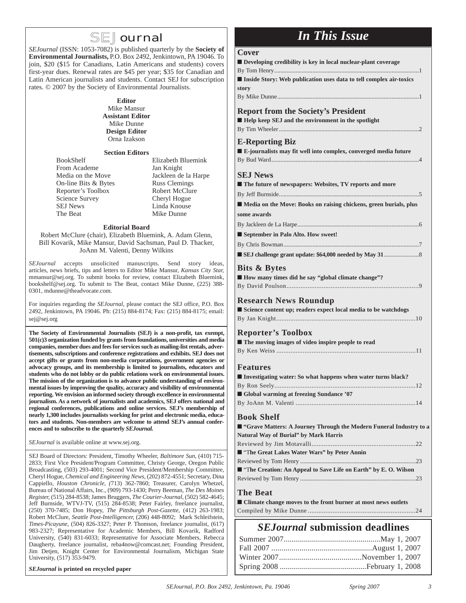### **SEJournal**

*SEJournal* (ISSN: 1053-7082) is published quarterly by the **Society of Environmental Journalists,** P.O. Box 2492, Jenkintown, PA 19046. To join, \$20 (\$15 for Canadians, Latin Americans and students) covers first-year dues. Renewal rates are \$45 per year; \$35 for Canadian and Latin American journalists and students. Contact SEJ for subscription rates. © 2007 by the Society of Environmental Journalists.

#### **Editor**

Mike Mansur **Assistant Editor** Mike Dunne **Design Editor** Orna Izakson

#### **Section Editors**

BookShelf Elizabeth Bluemink From Academe Jan Knight Media on the Move<br>
On-line Bits & Bytes<br>
Russ Clemings On-line Bits & Bytes Reporter's Toolbox Robert McClure Science Survey Cheryl Hogue SEJ News Linda Knouse<br>The Beat Mike Dunne

Mike Dunne

#### **Editorial Board**

Robert McClure (chair), Elizabeth Bluemink, A. Adam Glenn, Bill Kovarik, Mike Mansur, David Sachsman, Paul D. Thacker, JoAnn M. Valenti, Denny Wilkins

*SEJournal* accepts unsolicited manuscripts. Send story ideas, articles, news briefs, tips and letters to Editor Mike Mansur, *Kansas City Star,* mmansur@sej.org. To submit books for review, contact Elizabeth Bluemink, bookshelf@sej.org. To submit to The Beat, contact Mike Dunne, (225) 388- 0301, mdunne@theadvocate.com.

For inquiries regarding the *SEJournal*, please contact the SEJ office, P.O. Box 2492, Jenkintown, PA 19046. Ph: (215) 884-8174; Fax: (215) 884-8175; email: sej@sej.org

**The Society of Environmental Journalists (SEJ) is a non-profit, tax exempt, 501(c)3 organization funded by grants from foundations, universities and media companies, memberdues and fees for services such as mailing-list rentals, advertisements, subscriptions and conference registrations and exhibits. SEJ does not accept gifts or grants from non-media corporations, government agencies or advocacy groups, and its membership is limited to journalists, educators and students who do not lobby or do public relations work on environmental issues. The mission of the organization is to advance public understanding of environmental issues by improving the quality, accuracy and visibility of environmental reporting. We envision an informed society through excellence in environmental journalism. As a network of journalists and academics, SEJ offers national and regional conferences, publications and online services. SEJ's membership of nearly 1,300 includes journalists working for print and electronic media, educators and students. Non-members are welcome to attend SEJ's annual conferences and to subscribe to the quarterly** *SEJournal.*

*SEJournal* is available online at www.sej.org.

SEJ Board of Directors: President, Timothy Wheeler, *Baltimore Sun,* (410) 715- 2833; First Vice President/Program Committee, Christy George, Oregon Public Broadcasting, (503) 293-4001; Second Vice President/Membership Committee, Cheryl Hogue, *Chemical and Engineering News*, (202) 872-4551; Secretary, Dina Cappiello, *Houston Chronicle, (*713) 362-7860; Treasurer, Carolyn Whetzel, Bureau of National Affairs, Inc., (909) 793-1430; Perry Beeman, *The Des Moines Register,* (515) 284-8538; James Bruggers, *The Courier-Journal,* (502) 582-4645; Jeff Burnside, WTVJ-TV, (515) 284-8538; Peter Fairley, freelance journalist, (250) 370-7485; Don Hopey, *The Pittsburgh Post-Gazette*, (412) 263-1983; Robert McClure, *Seattle Post-Intelligencer,* (206) 448-8092; Mark Schleifstein, *Times-Picayune,* (504) 826-3327; Peter P. Thomson, freelance journalist, (617) 983-2327; Representative for Academic Members, Bill Kovarik, Radford University, (540) 831-6033; Representative for Associate Members, Rebecca Daugherty, freelance journalist, reba4now@comcast.net; Founding President, Jim Detjen, Knight Center for Environmental Journalism, Michigan State University, (517) 353-9479.

#### *SEJournal* **is printed on recycled paper**

## *In This Issue*

#### $C_{\alpha x \alpha y}$

| ■ Climate change moves to the front burner at most news outlets                  |
|----------------------------------------------------------------------------------|
| <b>The Beat</b>                                                                  |
|                                                                                  |
| ■ "The Creation: An Appeal to Save Life on Earth" by E.O. Wilson                 |
|                                                                                  |
| ■ "The Great Lakes Water Wars" by Peter Annin                                    |
| Natural Way of Burial" by Mark Harris                                            |
| ■ "Grave Matters: A Journey Through the Modern Funeral Industry to a             |
| <b>Book Shelf</b>                                                                |
|                                                                                  |
| Global warming at freezing Sundance '07                                          |
|                                                                                  |
| I Investigating water: So what happens when water turns black?                   |
| <b>Features</b>                                                                  |
|                                                                                  |
|                                                                                  |
| <b>Reporter's Toolbox</b><br>■ The moving images of video inspire people to read |
|                                                                                  |
|                                                                                  |
| Science content up; readers expect local media to be watchdogs                   |
| <b>Research News Roundup</b>                                                     |
|                                                                                  |
| ■ How many times did he say "global climate change"?                             |
| <b>Bits &amp; Bytes</b>                                                          |
|                                                                                  |
|                                                                                  |
| September in Palo Alto. How sweet!                                               |
|                                                                                  |
| some awards                                                                      |
| Media on the Move: Books on raising chickens, green burials, plus                |
|                                                                                  |
| ■ The future of newspapers: Websites, TV reports and more                        |
| <b>SEJ News</b>                                                                  |
|                                                                                  |
| E-journalists may fit well into complex, converged media future                  |
| <b>E-Reporting Biz</b>                                                           |
|                                                                                  |
| Help keep SEJ and the environment in the spotlight                               |
| <b>Report from the Society's President</b>                                       |
|                                                                                  |
| story                                                                            |
| Inside Story: Web publication uses data to tell complex air-toxics               |
|                                                                                  |
| Developing credibility is key in local nuclear-plant coverage                    |
| COVEL                                                                            |

# Summer 2007................................................May 1, 2007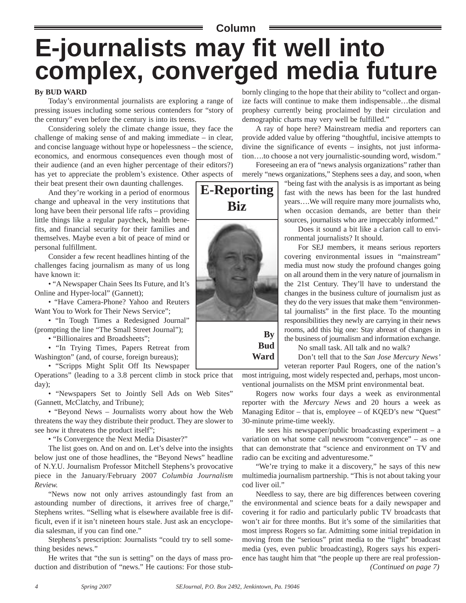# **Column E-journalists may fit well into complex, converged media future**

#### **By BUD WARD**

Today's environmental journalists are exploring a range of pressing issues including some serious contenders for "story of the century" even before the century is into its teens.

Considering solely the climate change issue, they face the challenge of making sense of and making immediate – in clear, and concise language without hype or hopelessness – the science, economics, and enormous consequences even though most of their audience (and an even higher percentage of their editors?) has yet to appreciate the problem's existence. Other aspects of their beat present their own daunting challenges.

And they're working in a period of enormous change and upheaval in the very institutions that long have been their personal life rafts – providing little things like a regular paycheck, health benefits, and financial security for their families and themselves. Maybe even a bit of peace of mind or personal fulfillment.

Consider a few recent headlines hinting of the challenges facing journalism as many of us long have known it:

• "A Newspaper Chain Sees Its Future, and It's Online and Hyper-local" (Gannett);

• "Have Camera-Phone? Yahoo and Reuters Want You to Work for Their News Service";

• "In Tough Times a Redesigned Journal" (prompting the line "The Small Street Journal");

• "Billionaires and Broadsheets";

• "In Trying Times, Papers Retreat from Washington" (and, of course, foreign bureaus);

• "Scripps Might Split Off Its Newspaper Operations" (leading to a 3.8 percent climb in stock price that day);

• "Newspapers Set to Jointly Sell Ads on Web Sites" (Gannett, McClatchy, and Tribune);

• "Beyond News – Journalists worry about how the Web threatens the way they distribute their product. They are slower to see how it threatens the product itself";

• "Is Convergence the Next Media Disaster?"

The list goes on. And on and on. Let's delve into the insights below just one of those headlines, the "Beyond News" headline of N.Y.U. Journalism Professor Mitchell Stephens's provocative piece in the January/February 2007 *Columbia Journalism Review.*

"News now not only arrives astoundingly fast from an astounding number of directions, it arrives free of charge," Stephens writes. "Selling what is elsewhere available free is difficult, even if it isn't nineteen hours stale. Just ask an encyclopedia salesman, if you can find one."

Stephens's prescription: Journalists "could try to sell something besides news."

He writes that "the sun is setting" on the days of mass production and distribution of "news." He cautions: For those stub-

bornly clinging to the hope that their ability to "collect and organize facts will continue to make them indispensable…the dismal prophesy currently being proclaimed by their circulation and demographic charts may very well be fulfilled."

A ray of hope here? Mainstream media and reporters can provide added value by offering "thoughtful, incisive attempts to divine the significance of events – insights, not just information….to choose a not very journalistic-sounding word, wisdom."

Foreseeing an era of "news analysis organizations" rather than merely "news organizations," Stephens sees a day, and soon, when

> "being fast with the analysis is as important as being fast with the news has been for the last hundred years….We will require many more journalists who, when occasion demands, are better than their sources, journalists who are impeccably informed."

Does it sound a bit like a clarion call to environmental journalists? It should.

For SEJ members, it means serious reporters covering environmental issues in "mainstream" media must now study the profound changes going on all around them in the very nature of journalism in the 21st Century. They'll have to understand the changes in the business culture of journalism just as they do the very issues that make them "environmental journalists" in the first place. To the mounting responsibilities they newly are carrying in their news rooms, add this big one: Stay abreast of changes in the business of journalism and information exchange.

No small task. All talk and no walk?

Don't tell that to the *San Jose Mercury News'* veteran reporter Paul Rogers, one of the nation's

most intriguing, most widely respected and, perhaps, most unconventional journalists on the MSM print environmental beat.

Rogers now works four days a week as environmental reporter with the *Mercury News* and 20 hours a week as Managing Editor – that is, employee – of KQED's new "Quest" 30-minute prime-time weekly.

He sees his newspaper/public broadcasting experiment  $-$  a variation on what some call newsroom "convergence" – as one that can demonstrate that "science and environment on TV and radio can be exciting and adventuresome."

"We're trying to make it a discovery," he says of this new multimedia journalism partnership. "This is not about taking your cod liver oil."

Needless to say, there are big differences between covering the environmental and science beats for a daily newspaper and covering it for radio and particularly public TV broadcasts that won't air for three months. But it's some of the similarities that most impress Rogers so far. Admitting some initial trepidation in moving from the "serious" print media to the "light" broadcast media (yes, even public broadcasting), Rogers says his experience has taught him that "the people up there are real profession-*(Continued on page 7)*



**Bud Ward**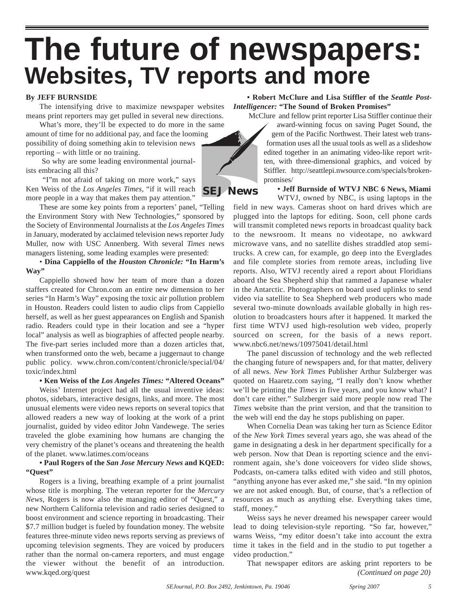# **The future of newspapers: Websites, TV reports and more**

#### **By JEFF BURNSIDE**

The intensifying drive to maximize newspaper websites means print reporters may get pulled in several new directions.

What's more, they'll be expected to do more in the same amount of time for no additional pay, and face the looming possibility of doing something akin to television news reporting – with little or no training.

So why are some leading environmental journalists embracing all this?

"I"m not afraid of taking on more work," says Ken Weiss of the *Los Angeles Times,* "if it will reach more people in a way that makes them pay attention."

These are some key points from a reporters' panel, "Telling the Environment Story with New Technologies," sponsored by the Society of Environmental Journalists at the *Los Angeles Times* in January, moderated by acclaimed television news reporter Judy Muller, now with USC Annenberg. With several *Times* news managers listening, some leading examples were presented:

• **Dina Cappiello of the** *Houston Chronicle:* **"In Harm's Way"**

Cappiello showed how her team of more than a dozen staffers created for Chron.com an entire new dimension to her series "In Harm's Way" exposing the toxic air pollution problem in Houston. Readers could listen to audio clips from Cappiello herself, as well as her guest appearances on English and Spanish radio. Readers could type in their location and see a "hyper local" analysis as well as biographies of affected people nearby. The five-part series included more than a dozen articles that, when transformed onto the web, became a juggernaut to change public policy. www.chron.com/content/chronicle/special/04/ toxic/index.html

**• Ken Weiss of the** *Los Angeles Times:* **"Altered Oceans"** 

Weiss' Internet project had all the usual inventive ideas: photos, sidebars, interactive designs, links, and more. The most unusual elements were video news reports on several topics that allowed readers a new way of looking at the work of a print journalist, guided by video editor John Vandewege. The series traveled the globe examining how humans are changing the very chemistry of the planet's oceans and threatening the health of the planet. www.latimes.com/oceans

#### **• Paul Rogers of the** *San Jose Mercury News* **and KQED: "Quest"**

Rogers is a living, breathing example of a print journalist whose title is morphing. The veteran reporter for the *Mercury News,* Rogers is now also the managing editor of "Quest," a new Northern California television and radio series designed to boost environment and science reporting in broadcasting. Their \$7.7 million budget is fueled by foundation money. The website features three-minute video news reports serving as previews of upcoming television segments. They are voiced by producers rather than the normal on-camera reporters, and must engage the viewer without the benefit of an introduction. www.kqed.org/quest

**• Robert McClure and Lisa Stiffler of the** *Seattle Post-Intelligencer:* **"The Sound of Broken Promises"** 

McClure and fellow print reporter Lisa Stiffler continue their

award-winning focus on saving Puget Sound, the gem of the Pacific Northwest. Their latest web transformation uses all the usual tools as well as a slideshow edited together in an animating video-like report written, with three-dimensional graphics, and voiced by Stiffler. http://seattlepi.nwsource.com/specials/brokenpromises/

**• Jeff Burnside of WTVJ NBC 6 News, Miami**  WTVJ, owned by NBC, is using laptops in the

field in new ways. Cameras shoot on hard drives which are plugged into the laptops for editing. Soon, cell phone cards will transmit completed news reports in broadcast quality back to the newsroom. It means no videotape, no awkward microwave vans, and no satellite dishes straddled atop semitrucks. A crew can, for example, go deep into the Everglades and file complete stories from remote areas, including live reports. Also, WTVJ recently aired a report about Floridians aboard the Sea Shepherd ship that rammed a Japanese whaler in the Antarctic. Photographers on board used uplinks to send video via satellite to Sea Shepherd web producers who made several two-minute downloads available globally in high resolution to broadcasters hours after it happened. It marked the first time WTVJ used high-resolution web video, properly sourced on screen, for the basis of a news report. www.nbc6.net/news/10975041/detail.html

The panel discussion of technology and the web reflected the changing future of newspapers and, for that matter, delivery of all news. *New York Times* Publisher Arthur Sulzberger was quoted on Haaretz.com saying, "I really don't know whether we'll be printing the *Times* in five years, and you know what? I don't care either." Sulzberger said more people now read The *Times* website than the print version, and that the transition to the web will end the day he stops publishing on paper.

When Cornelia Dean was taking her turn as Science Editor of the *New York Times* several years ago, she was ahead of the game in designating a desk in her department specifically for a web person. Now that Dean is reporting science and the environment again, she's done voiceovers for video slide shows, Podcasts, on-camera talks edited with video and still photos, "anything anyone has ever asked me," she said. "In my opinion we are not asked enough. But, of course, that's a reflection of resources as much as anything else. Everything takes time, staff, money."

Weiss says he never dreamed his newspaper career would lead to doing television-style reporting. "So far, however," warns Weiss, "my editor doesn't take into account the extra time it takes in the field and in the studio to put together a video production."

That newspaper editors are asking print reporters to be *(Continued on page 20)*



**SEJ News**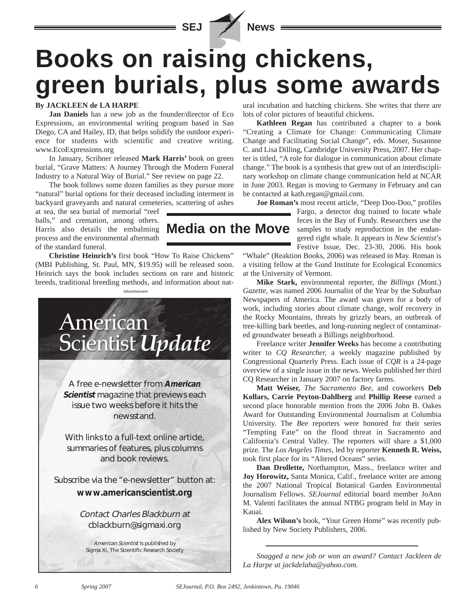**SEJ News**

# **Books on raising chickens, green burials, plus some awards**

#### **By JACKLEEN de LA HARPE**

**Jan Daniels** has a new job as the founder/director of Eco Expressions, an environmental writing program based in San Diego, CA and Hailey, ID, that helps solidify the outdoor experience for students with scientific and creative writing. www.EcoExpressions.org

In January, Scribner released **Mark Harris'** book on green burial, "Grave Matters: A Journey Through the Modern Funeral Industry to a Natural Way of Burial." See review on page 22.

The book follows some dozen families as they pursue more "natural" burial options for their deceased including interment in backyard graveyards and natural cemeteries, scattering of ashes

at sea, the sea burial of memorial "reef balls," and cremation, among others. Harris also details the embalming process and the environmental aftermath of the standard funeral.

**Christine Heinrich's** first book "How To Raise Chickens" (MBI Publishing, St. Paul, MN, \$19.95) will be released soon. Heinrich says the book includes sections on rare and historic breeds, traditional breeding methods, and information about nat-



American Scientist is published by Sigma Xi, The Scientific Research Society ural incubation and hatching chickens. She writes that there are lots of color pictures of beautiful chickens.

**Kathleen Regan** has contributed a chapter to a book "Creating a Climate for Change: Communicating Climate Change and Facilitating Social Change", eds. Moser, Susannne C. and Lisa Dilling, Cambridge University Press, 2007. Her chapter is titled, "A role for dialogue in communication about climate change." The book is a synthesis that grew out of an interdisciplinary workshop on climate change communication held at NCAR in June 2003. Regan is moving to Germany in February and can be contacted at kath.regan@gmail.com.

**Joe Roman's** most recent article, "Deep Doo-Doo," profiles

Fargo, a detector dog trained to locate whale feces in the Bay of Fundy. Researchers use the samples to study reproduction in the endangered right whale. It appears in *New Scientist*'s Festive Issue, Dec. 23-30, 2006. His book **Media on the Move**

> "Whale" (Reaktion Books, 2006) was released in May. Roman is a visiting fellow at the Gund Institute for Ecological Economics at the University of Vermont.

> **Mike Stark,** environmental reporter, the *Billings* (Mont.) *Gazette,* was named 2006 Journalist of the Year by the Suburban Newspapers of America. The award was given for a body of work, including stories about climate change, wolf recovery in the Rocky Mountains, threats by grizzly bears, an outbreak of tree-killing bark beetles, and long-running neglect of contaminated groundwater beneath a Billings neighborhood.

> Freelance writer **Jennifer Weeks** has become a contributing writer to *CQ Researcher,* a weekly magazine published by Congressional Quarterly Press. Each issue of *CQR* is a 24-page overview of a single issue in the news. Weeks published her third CQ Researcher in January 2007 on factory farms.

> **Matt Weiser,** *The Sacramento Bee,* and coworkers **Deb Kollars, Carrie Peyton-Dahlberg** and **Phillip Reese** earned a second place honorable mention from the 2006 John B. Oakes Award for Outstanding Environmental Journalism at Columbia University. The *Bee* reporters were honored for their series "Tempting Fate" on the flood threat in Sacramento and California's Central Valley. The reporters will share a \$1,000 prize. The *Los Angeles Times,* led by reporter **Kenneth R. Weiss,** took first place for its "Altered Oceans" series.

> **Dan Drollette,** Northampton, Mass., freelance writer and **Joy Horowitz,** Santa Monica, Calif., freelance writer are among the 2007 National Tropical Botanical Garden Environmental Journalism Fellows. *SEJournal* editorial board member JoAnn M. Valenti facilitates the annual NTBG program held in May in Kauai.

> **Alex Wilson's** book, "Your Green Home" was recently published by New Society Publishers, 2006.

> *Snagged a new job or won an award? Contact Jackleen de La Harpe at jackdelaha@yahoo.com.*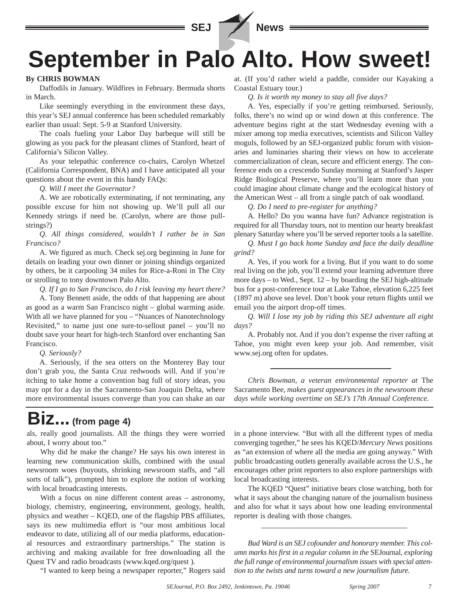

# **September in Palo Alto. How sweet!**

#### **By CHRIS BOWMAN**

Daffodils in January. Wildfires in February. Bermuda shorts in March.

Like seemingly everything in the environment these days, this year's SEJ annual conference has been scheduled remarkably earlier than usual: Sept. 5-9 at Stanford University.

The coals fueling your Labor Day barbeque will still be glowing as you pack for the pleasant climes of Stanford, heart of California's Silicon Valley.

As your telepathic conference co-chairs, Carolyn Whetzel (California Correspondent, BNA) and I have anticipated all your questions about the event in this handy FAQs:

*Q. Will I meet the Governator?*

A. We are robotically exterminating, if not terminating, any possible excuse for him not showing up. We'll pull all our Kennedy strings if need be. (Carolyn, where are those pullstrings?)

*Q. All things considered, wouldn't I rather be in San Francisco?* 

A. We figured as much. Check sej.org beginning in June for details on leading your own dinner or joining shindigs organized by others, be it carpooling 34 miles for Rice-a-Roni in The City or strolling to tony downtown Palo Alto.

*Q. If I go to San Francisco, do I risk leaving my heart there?*

A. Tony Bennett aside, the odds of that happening are about as good as a warm San Francisco night – global warming aside. With all we have planned for you – "Nuances of Nanotechnology Revisited," to name just one sure-to-sellout panel – you'll no doubt save your heart for high-tech Stanford over enchanting San Francisco.

*Q. Seriously?*

A. Seriously, if the sea otters on the Monterey Bay tour don't grab you, the Santa Cruz redwoods will. And if you're itching to take home a convention bag full of story ideas, you may opt for a day in the Sacramento-San Joaquin Delta, where more environmental issues converge than you can shake an oar

at. (If you'd rather wield a paddle, consider our Kayaking a Coastal Estuary tour.)

*Q. Is it worth my money to stay all five days?*

A. Yes, especially if you're getting reimbursed. Seriously, folks, there's no wind up or wind down at this conference. The adventure begins right at the start Wednesday evening with a mixer among top media executives, scientists and Silicon Valley moguls, followed by an SEJ-organized public forum with visionaries and luminaries sharing their views on how to accelerate commercialization of clean, secure and efficient energy. The conference ends on a crescendo Sunday morning at Stanford's Jasper Ridge Biological Preserve, where you'll learn more than you could imagine about climate change and the ecological history of the American West – all from a single patch of oak woodland.

*Q. Do I need to pre-register for anything?*

A. Hello? Do you wanna have fun? Advance registration is required for all Thursday tours, not to mention our hearty breakfast plenary Saturday where you'll be served reporter tools a la satellite.

*Q. Must I go back home Sunday and face the daily deadline grind?*

A. Yes, if you work for a living. But if you want to do some real living on the job, you'll extend your learning adventure three more days – to Wed., Sept. 12 – by boarding the SEJ high-altitude bus for a post-conference tour at Lake Tahoe, elevation 6,225 feet (1897 m) above sea level. Don't book your return flights until we email you the airport drop-off times.

*Q. Will I lose my job by riding this SEJ adventure all eight days?*

A. Probably not. And if you don't expense the river rafting at Tahoe, you might even keep your job. And remember, visit www.sej.org often for updates.

*Chris Bowman, a veteran environmental reporter at* The Sacramento Bee, *makes guest appearances in the newsroom these days while working overtime on SEJ's 17th Annual Conference.*

# **Biz... (from page 4)**

als, really good journalists. All the things they were worried about, I worry about too."

Why did he make the change? He says his own interest in learning new communication skills, combined with the usual newsroom woes (buyouts, shrinking newsroom staffs, and "all sorts of talk"), prompted him to explore the notion of working with local broadcasting interests.

With a focus on nine different content areas – astronomy, biology, chemistry, engineering, environment, geology, health, physics and weather – KQED, one of the flagship PBS affiliates, says its new multimedia effort is "our most ambitious local endeavor to date, utilizing all of our media platforms, educational resources and extraordinary partnerships." The station is archiving and making available for free downloading all the Quest TV and radio broadcasts (www.kqed.org/quest ).

"I wanted to keep being a newspaper reporter," Rogers said

in a phone interview. "But with all the different types of media converging together," he sees his KQED/*Mercury News* positions as "an extension of where all the media are going anyway." With public broadcasting outlets generally available across the U.S., he encourages other print reporters to also explore partnerships with local broadcasting interests.

The KQED "Quest" initiative bears close watching, both for what it says about the changing nature of the journalism business and also for what it says about how one leading environmental reporter is dealing with those changes.

*Bud Ward is an SEJ cofounder and honorary member. This column marks his first in a regular column in the* SEJournal, *exploring the full range of environmental journalism issues with special attention to the twists and turns toward a new journalism future.*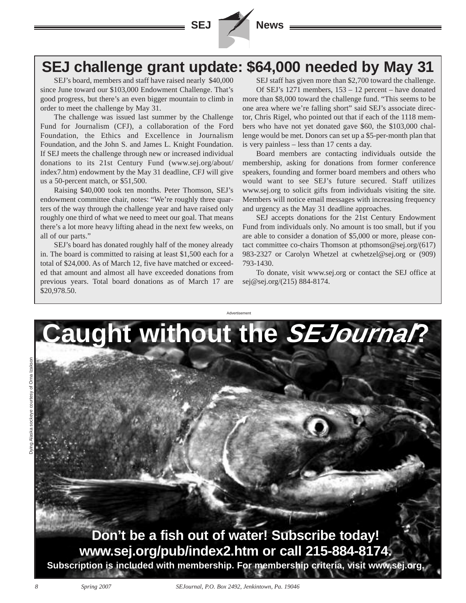

## **SEJ challenge grant update: \$64,000 needed by May 31**

SEJ's board, members and staff have raised nearly \$40,000 since June toward our \$103,000 Endowment Challenge. That's good progress, but there's an even bigger mountain to climb in order to meet the challenge by May 31.

The challenge was issued last summer by the Challenge Fund for Journalism (CFJ), a collaboration of the Ford Foundation, the Ethics and Excellence in Journalism Foundation, and the John S. and James L. Knight Foundation. If SEJ meets the challenge through new or increased individual donations to its 21st Century Fund (www.sej.org/about/ index7.htm) endowment by the May 31 deadline, CFJ will give us a 50-percent match, or \$51,500.

Raising \$40,000 took ten months. Peter Thomson, SEJ's endowment committee chair, notes: "We're roughly three quarters of the way through the challenge year and have raised only roughly one third of what we need to meet our goal. That means there's a lot more heavy lifting ahead in the next few weeks, on all of our parts."

SEJ's board has donated roughly half of the money already in. The board is committed to raising at least \$1,500 each for a total of \$24,000. As of March 12, five have matched or exceeded that amount and almost all have exceeded donations from previous years. Total board donations as of March 17 are \$20,978.50.

SEJ staff has given more than \$2,700 toward the challenge. Of SEJ's 1271 members, 153 – 12 percent – have donated more than \$8,000 toward the challenge fund. "This seems to be one area where we're falling short" said SEJ's associate director, Chris Rigel, who pointed out that if each of the 1118 members who have not yet donated gave \$60, the \$103,000 challenge would be met. Donors can set up a \$5-per-month plan that is very painless – less than 17 cents a day.

Board members are contacting individuals outside the membership, asking for donations from former conference speakers, founding and former board members and others who would want to see SEJ's future secured. Staff utilizes www.sej.org to solicit gifts from individuals visiting the site. Members will notice email messages with increasing frequency and urgency as the May 31 deadline approaches.

SEJ accepts donations for the 21st Century Endowment Fund from individuals only. No amount is too small, but if you are able to consider a donation of \$5,000 or more, please contact committee co-chairs Thomson at pthomson@sej.org/(617) 983-2327 or Carolyn Whetzel at cwhetzel@sej.org or (909) 793-1430.

To donate, visit www.sej.org or contact the SEJ office at sej@sej.org/(215) 884-8174.

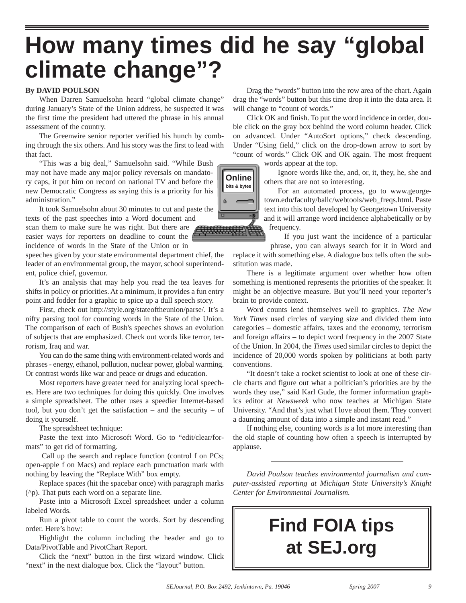# **How many times did he say "global climate change"?**

#### **By DAVID POULSON**

When Darren Samuelsohn heard "global climate change" during January's State of the Union address, he suspected it was the first time the president had uttered the phrase in his annual assessment of the country.

The Greenwire senior reporter verified his hunch by combing through the six others. And his story was the first to lead with that fact.

"This was a big deal," Samuelsohn said. "While Bush may not have made any major policy reversals on mandatory caps, it put him on record on national TV and before the new Democratic Congress as saying this is a priority for his administration."

It took Samuelsohn about 30 minutes to cut and paste the texts of the past speeches into a Word document and

scan them to make sure he was right. But there are easier ways for reporters on deadline to count the incidence of words in the State of the Union or in

speeches given by your state environmental department chief, the leader of an environmental group, the mayor, school superintendent, police chief, governor.

It's an analysis that may help you read the tea leaves for shifts in policy or priorities. At a minimum, it provides a fun entry point and fodder for a graphic to spice up a dull speech story.

First, check out http://style.org/stateoftheunion/parse/. It's a nifty parsing tool for counting words in the State of the Union. The comparison of each of Bush's speeches shows an evolution of subjects that are emphasized. Check out words like terror, terrorism, Iraq and war.

You can do the same thing with environment-related words and phrases - energy, ethanol, pollution, nuclear power, global warming. Or contrast words like war and peace or drugs and education.

Most reporters have greater need for analyzing local speeches. Here are two techniques for doing this quickly. One involves a simple spreadsheet. The other uses a speedier Internet-based tool, but you don't get the satisfaction – and the security – of doing it yourself.

The spreadsheet technique:

Paste the text into Microsoft Word. Go to "edit/clear/formats" to get rid of formatting.

Call up the search and replace function (control f on PCs; open-apple f on Macs) and replace each punctuation mark with nothing by leaving the "Replace With" box empty.

Replace spaces (hit the spacebar once) with paragraph marks (^p). That puts each word on a separate line.

Paste into a Microsoft Excel spreadsheet under a column labeled Words.

Run a pivot table to count the words. Sort by descending order. Here's how:

Highlight the column including the header and go to Data/PivotTable and PivotChart Report.

Click the "next" button in the first wizard window. Click "next" in the next dialogue box. Click the "layout" button.

Drag the "words" button into the row area of the chart. Again drag the "words" button but this time drop it into the data area. It will change to "count of words."

Click OK and finish. To put the word incidence in order, double click on the gray box behind the word column header. Click on advanced. Under "AutoSort options," check descending. Under "Using field," click on the drop-down arrow to sort by "count of words." Click OK and OK again. The most frequent

words appear at the top.

Ignore words like the, and, or, it, they, he, she and others that are not so interesting.

For an automated process, go to www.georgetown.edu/faculty/ballc/webtools/web\_freqs.html. Paste text into this tool developed by Georgetown University and it will arrange word incidence alphabetically or by frequency.

If you just want the incidence of a particular phrase, you can always search for it in Word and replace it with something else. A dialogue box tells often the substitution was made.

There is a legitimate argument over whether how often something is mentioned represents the priorities of the speaker. It might be an objective measure. But you'll need your reporter's brain to provide context.

Word counts lend themselves well to graphics. *The New York Times* used circles of varying size and divided them into categories – domestic affairs, taxes and the economy, terrorism and foreign affairs – to depict word frequency in the 2007 State of the Union. In 2004, the *Times* used similar circles to depict the incidence of 20,000 words spoken by politicians at both party conventions.

"It doesn't take a rocket scientist to look at one of these circle charts and figure out what a politician's priorities are by the words they use," said Karl Gude, the former information graphics editor at *Newsweek* who now teaches at Michigan State University. "And that's just what I love about them. They convert a daunting amount of data into a simple and instant read."

If nothing else, counting words is a lot more interesting than the old staple of counting how often a speech is interrupted by applause.

*David Poulson teaches environmental journalism and computer-assisted reporting at Michigan State University's Knight Center for Environmental Journalism.*

# **Find FOIA tips at SEJ.org**

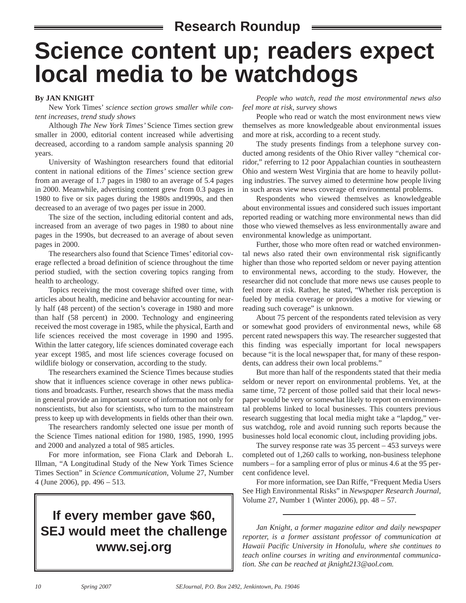### **Research Roundup**

# **Science content up; readers expect local media to be watchdogs**

#### **By JAN KNIGHT**

New York Times' *science section grows smaller while content increases, trend study shows*

Although *The New York Times'* Science Times section grew smaller in 2000, editorial content increased while advertising decreased, according to a random sample analysis spanning 20 years.

University of Washington researchers found that editorial content in national editions of the *Times'* science section grew from an average of 1.7 pages in 1980 to an average of 5.4 pages in 2000. Meanwhile, advertising content grew from 0.3 pages in 1980 to five or six pages during the 1980s and1990s, and then decreased to an average of two pages per issue in 2000.

The size of the section, including editorial content and ads, increased from an average of two pages in 1980 to about nine pages in the 1990s, but decreased to an average of about seven pages in 2000.

The researchers also found that Science Times' editorial coverage reflected a broad definition of science throughout the time period studied, with the section covering topics ranging from health to archeology.

Topics receiving the most coverage shifted over time, with articles about health, medicine and behavior accounting for nearly half (48 percent) of the section's coverage in 1980 and more than half (58 percent) in 2000. Technology and engineering received the most coverage in 1985, while the physical, Earth and life sciences received the most coverage in 1990 and 1995. Within the latter category, life sciences dominated coverage each year except 1985, and most life sciences coverage focused on wildlife biology or conservation, according to the study.

The researchers examined the Science Times because studies show that it influences science coverage in other news publications and broadcasts. Further, research shows that the mass media in general provide an important source of information not only for nonscientists, but also for scientists, who turn to the mainstream press to keep up with developments in fields other than their own.

The researchers randomly selected one issue per month of the Science Times national edition for 1980, 1985, 1990, 1995 and 2000 and analyzed a total of 985 articles.

For more information, see Fiona Clark and Deborah L. Illman, "A Longitudinal Study of the New York Times Science Times Section" in *Science Communication,* Volume 27, Number 4 (June 2006), pp. 496 – 513.

## **If every member gave \$60, SEJ would meet the challenge www.sej.org**

*People who watch, read the most environmental news also feel more at risk, survey shows*

People who read or watch the most environment news view themselves as more knowledgeable about environmental issues and more at risk, according to a recent study.

The study presents findings from a telephone survey conducted among residents of the Ohio River valley "chemical corridor," referring to 12 poor Appalachian counties in southeastern Ohio and western West Virginia that are home to heavily polluting industries. The survey aimed to determine how people living in such areas view news coverage of environmental problems.

Respondents who viewed themselves as knowledgeable about environmental issues and considered such issues important reported reading or watching more environmental news than did those who viewed themselves as less environmentally aware and environmental knowledge as unimportant.

Further, those who more often read or watched environmental news also rated their own environmental risk significantly higher than those who reported seldom or never paying attention to environmental news, according to the study. However, the researcher did not conclude that more news use causes people to feel more at risk. Rather, he stated, "Whether risk perception is fueled by media coverage or provides a motive for viewing or reading such coverage" is unknown.

About 75 percent of the respondents rated television as very or somewhat good providers of environmental news, while 68 percent rated newspapers this way. The researcher suggested that this finding was especially important for local newspapers because "it is the local newspaper that, for many of these respondents, can address their own local problems."

But more than half of the respondents stated that their media seldom or never report on environmental problems. Yet, at the same time, 72 percent of those polled said that their local newspaper would be very or somewhat likely to report on environmental problems linked to local businesses. This counters previous research suggesting that local media might take a "lapdog," versus watchdog, role and avoid running such reports because the businesses hold local economic clout, including providing jobs.

The survey response rate was  $35$  percent  $-453$  surveys were completed out of 1,260 calls to working, non-business telephone numbers – for a sampling error of plus or minus 4.6 at the 95 percent confidence level.

For more information, see Dan Riffe, "Frequent Media Users See High Environmental Risks" in *Newspaper Research Journal,* Volume 27, Number 1 (Winter 2006), pp. 48 – 57.

*Jan Knight, a former magazine editor and daily newspaper reporter, is a former assistant professor of communication at Hawaii Pacific University in Honolulu, where she continues to teach online courses in writing and environmental communication. She can be reached at jknight213@aol.com.*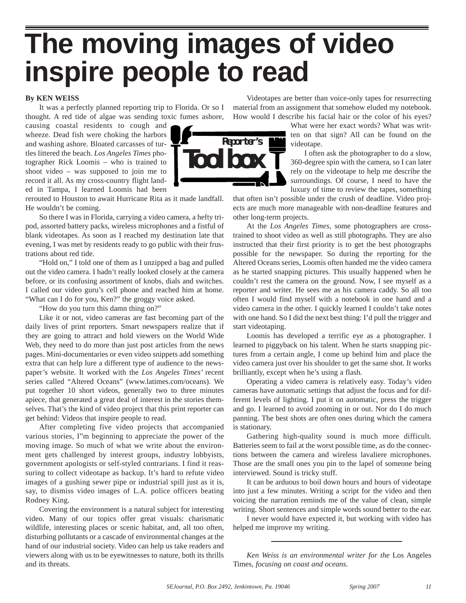# **The moving images of video inspire people to read**

#### **By KEN WEISS**

It was a perfectly planned reporting trip to Florida. Or so I thought. A red tide of algae was sending toxic fumes ashore,

causing coastal residents to cough and wheeze. Dead fish were choking the harbors and washing ashore. Bloated carcasses of turtles littered the beach. *Los Angeles Times* photographer Rick Loomis – who is trained to shoot video – was supposed to join me to record it all. As my cross-country flight landed in Tampa, I learned Loomis had been

rerouted to Houston to await Hurricane Rita as it made landfall.

He wouldn't be coming. So there I was in Florida, carrying a video camera, a hefty tripod, assorted battery packs, wireless microphones and a fistful of blank videotapes. As soon as I reached my destination late that

evening, I was met by residents ready to go public with their frus-

trations about red tide. "Hold on," I told one of them as I unzipped a bag and pulled out the video camera. I hadn't really looked closely at the camera before, or its confusing assortment of knobs, dials and switches. I called our video guru's cell phone and reached him at home. "What can I do for you, Ken?" the groggy voice asked.

"How do you turn this damn thing on?"

Like it or not, video cameras are fast becoming part of the daily lives of print reporters. Smart newspapers realize that if they are going to attract and hold viewers on the World Wide Web, they need to do more than just post articles from the news pages. Mini-documentaries or even video snippets add something extra that can help lure a different type of audience to the newspaper's website. It worked with the *Los Angeles Times'* recent series called "Altered Oceans" (www.latimes.com/oceans). We put together 10 short videos, generally two to three minutes apiece, that generated a great deal of interest in the stories themselves. That's the kind of video project that this print reporter can get behind: Videos that inspire people to read.

After completing five video projects that accompanied various stories, I"m beginning to appreciate the power of the moving image. So much of what we write about the environment gets challenged by interest groups, industry lobbyists, government apologists or self-styled contrarians. I find it reassuring to collect videotape as backup. It's hard to refute video images of a gushing sewer pipe or industrial spill just as it is, say, to dismiss video images of L.A. police officers beating Rodney King.

Covering the environment is a natural subject for interesting video. Many of our topics offer great visuals: charismatic wildlife, interesting places or scenic habitat, and, all too often, disturbing pollutants or a cascade of environmental changes at the hand of our industrial society. Video can help us take readers and viewers along with us to be eyewitnesses to nature, both its thrills and its threats.

Videotapes are better than voice-only tapes for resurrecting material from an assignment that somehow eluded my notebook. How would I describe his facial hair or the color of his eyes?

What were her exact words? What was written on that sign? All can be found on the videotape.

I often ask the photographer to do a slow, 360-degree spin with the camera, so I can later rely on the videotape to help me describe the surroundings. Of course, I need to have the luxury of time to review the tapes, something

that often isn't possible under the crush of deadline. Video projects are much more manageable with non-deadline features and other long-term projects.

At the *Los Angeles Times,* some photographers are crosstrained to shoot video as well as still photographs. They are also instructed that their first priority is to get the best photographs possible for the newspaper. So during the reporting for the Altered Oceans series, Loomis often handed me the video camera as he started snapping pictures. This usually happened when he couldn't rest the camera on the ground. Now, I see myself as a reporter and writer. He sees me as his camera caddy. So all too often I would find myself with a notebook in one hand and a video camera in the other. I quickly learned I couldn't take notes with one hand. So I did the next best thing: I'd pull the trigger and start videotaping.

Loomis has developed a terrific eye as a photographer. I learned to piggyback on his talent. When he starts snapping pictures from a certain angle, I come up behind him and place the video camera just over his shoulder to get the same shot. It works brilliantly, except when he's using a flash.

Operating a video camera is relatively easy. Today's video cameras have automatic settings that adjust the focus and for different levels of lighting. I put it on automatic, press the trigger and go. I learned to avoid zooming in or out. Nor do I do much panning. The best shots are often ones during which the camera is stationary.

Gathering high-quality sound is much more difficult. Batteries seem to fail at the worst possible time, as do the connections between the camera and wireless lavaliere microphones. Those are the small ones you pin to the lapel of someone being interviewed. Sound is tricky stuff.

It can be arduous to boil down hours and hours of videotape into just a few minutes. Writing a script for the video and then voicing the narration reminds me of the value of clean, simple writing. Short sentences and simple words sound better to the ear.

I never would have expected it, but working with video has helped me improve my writing.

*Ken Weiss is an environmental writer for the* Los Angeles Times, *focusing on coast and oceans.* 

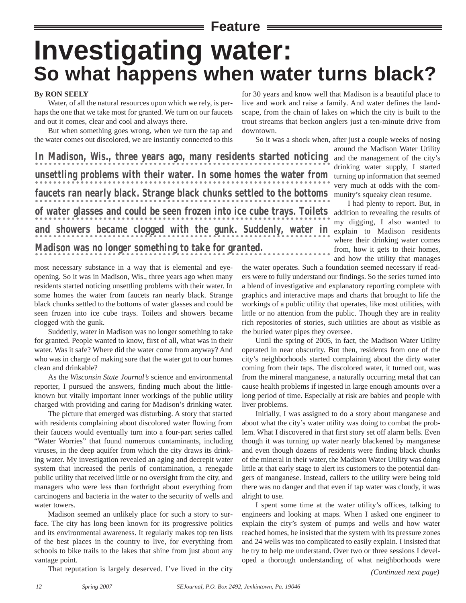### **Feature**

# **Investigating water: So what happens when water turns black?**

#### **By RON SEELY**

Water, of all the natural resources upon which we rely, is perhaps the one that we take most for granted. We turn on our faucets and out it comes, clear and cool and always there.

But when something goes wrong, when we turn the tap and the water comes out discolored, we are instantly connected to this

**In Madison, Wis., three years ago, many residents started noticing unsettling problems with their water. In some homes the water from faucets ran nearly black. Strange black chunks settled to the bottoms of water glasses and could be seen frozen into ice cube trays. Toilets and showers became clogged with the gunk. Suddenly, water in Madison was no longer something to take for granted.**

most necessary substance in a way that is elemental and eyeopening. So it was in Madison, Wis., three years ago when many residents started noticing unsettling problems with their water. In some homes the water from faucets ran nearly black. Strange black chunks settled to the bottoms of water glasses and could be seen frozen into ice cube trays. Toilets and showers became clogged with the gunk.

Suddenly, water in Madison was no longer something to take for granted. People wanted to know, first of all, what was in their water. Was it safe? Where did the water come from anyway? And who was in charge of making sure that the water got to our homes clean and drinkable?

As the *Wisconsin State Journal's* science and environmental reporter, I pursued the answers, finding much about the littleknown but vitally important inner workings of the public utility charged with providing and caring for Madison's drinking water.

The picture that emerged was disturbing. A story that started with residents complaining about discolored water flowing from their faucets would eventually turn into a four-part series called "Water Worries" that found numerous contaminants, including viruses, in the deep aquifer from which the city draws its drinking water. My investigation revealed an aging and decrepit water system that increased the perils of contamination, a renegade public utility that received little or no oversight from the city, and managers who were less than forthright about everything from carcinogens and bacteria in the water to the security of wells and water towers.

Madison seemed an unlikely place for such a story to surface. The city has long been known for its progressive politics and its environmental awareness. It regularly makes top ten lists of the best places in the country to live, for everything from schools to bike trails to the lakes that shine from just about any vantage point.

That reputation is largely deserved. I've lived in the city

for 30 years and know well that Madison is a beautiful place to live and work and raise a family. And water defines the landscape, from the chain of lakes on which the city is built to the trout streams that beckon anglers just a ten-minute drive from downtown.

So it was a shock when, after just a couple weeks of nosing around the Madison Water Utility and the management of the city's drinking water supply, I started turning up information that seemed very much at odds with the community's squeaky clean resume.

> I had plenty to report. But, in addition to revealing the results of my digging, I also wanted to explain to Madison residents where their drinking water comes from, how it gets to their homes, and how the utility that manages

the water operates. Such a foundation seemed necessary if readers were to fully understand our findings. So the series turned into a blend of investigative and explanatory reporting complete with graphics and interactive maps and charts that brought to life the workings of a public utility that operates, like most utilities, with little or no attention from the public. Though they are in reality rich repositories of stories, such utilities are about as visible as the buried water pipes they oversee.

Until the spring of 2005, in fact, the Madison Water Utility operated in near obscurity. But then, residents from one of the city's neighborhoods started complaining about the dirty water coming from their taps. The discolored water, it turned out, was from the mineral manganese, a naturally occurring metal that can cause health problems if ingested in large enough amounts over a long period of time. Especially at risk are babies and people with liver problems.

Initially, I was assigned to do a story about manganese and about what the city's water utility was doing to combat the problem. What I discovered in that first story set off alarm bells. Even though it was turning up water nearly blackened by manganese and even though dozens of residents were finding black chunks of the mineral in their water, the Madison Water Utility was doing little at that early stage to alert its customers to the potential dangers of manganese. Instead, callers to the utility were being told there was no danger and that even if tap water was cloudy, it was alright to use.

I spent some time at the water utility's offices, talking to engineers and looking at maps. When I asked one engineer to explain the city's system of pumps and wells and how water reached homes, he insisted that the system with its pressure zones and 24 wells was too complicated to easily explain. I insisted that he try to help me understand. Over two or three sessions I developed a thorough understanding of what neighborhoods were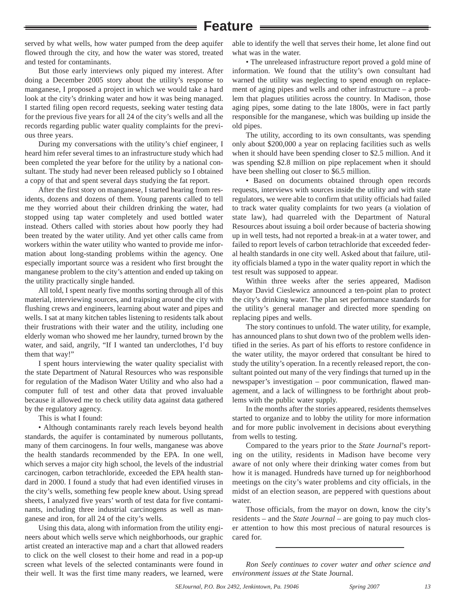### **Feature**

served by what wells, how water pumped from the deep aquifer flowed through the city, and how the water was stored, treated and tested for contaminants.

But those early interviews only piqued my interest. After doing a December 2005 story about the utility's response to manganese, I proposed a project in which we would take a hard look at the city's drinking water and how it was being managed. I started filing open record requests, seeking water testing data for the previous five years for all 24 of the city's wells and all the records regarding public water quality complaints for the previous three years.

During my conversations with the utility's chief engineer, I heard him refer several times to an infrastructure study which had been completed the year before for the utility by a national consultant. The study had never been released publicly so I obtained a copy of that and spent several days studying the fat report.

After the first story on manganese, I started hearing from residents, dozens and dozens of them. Young parents called to tell me they worried about their children drinking the water, had stopped using tap water completely and used bottled water instead. Others called with stories about how poorly they had been treated by the water utility. And yet other calls came from workers within the water utility who wanted to provide me information about long-standing problems within the agency. One especially important source was a resident who first brought the manganese problem to the city's attention and ended up taking on the utility practically single handed.

All told, I spent nearly five months sorting through all of this material, interviewing sources, and traipsing around the city with flushing crews and engineers, learning about water and pipes and wells. I sat at many kitchen tables listening to residents talk about their frustrations with their water and the utility, including one elderly woman who showed me her laundry, turned brown by the water, and said, angrily, "If I wanted tan underclothes, I'd buy them that way!"

I spent hours interviewing the water quality specialist with the state Department of Natural Resources who was responsible for regulation of the Madison Water Utility and who also had a computer full of test and other data that proved invaluable because it allowed me to check utility data against data gathered by the regulatory agency.

This is what I found:

• Although contaminants rarely reach levels beyond health standards, the aquifer is contaminated by numerous pollutants, many of them carcinogens. In four wells, manganese was above the health standards recommended by the EPA. In one well, which serves a major city high school, the levels of the industrial carcinogen, carbon tetrachloride, exceeded the EPA health standard in 2000. I found a study that had even identified viruses in the city's wells, something few people knew about. Using spread sheets, I analyzed five years' worth of test data for five contaminants, including three industrial carcinogens as well as manganese and iron, for all 24 of the city's wells.

Using this data, along with information from the utility engineers about which wells serve which neighborhoods, our graphic artist created an interactive map and a chart that allowed readers to click on the well closest to their home and read in a pop-up screen what levels of the selected contaminants were found in their well. It was the first time many readers, we learned, were able to identify the well that serves their home, let alone find out what was in the water.

• The unreleased infrastructure report proved a gold mine of information. We found that the utility's own consultant had warned the utility was neglecting to spend enough on replacement of aging pipes and wells and other infrastructure – a problem that plagues utilities across the country. In Madison, those aging pipes, some dating to the late 1800s, were in fact partly responsible for the manganese, which was building up inside the old pipes.

The utility, according to its own consultants, was spending only about \$200,000 a year on replacing facilities such as wells when it should have been spending closer to \$2.5 million. And it was spending \$2.8 million on pipe replacement when it should have been shelling out closer to \$6.5 million.

• Based on documents obtained through open records requests, interviews with sources inside the utility and with state regulators, we were able to confirm that utility officials had failed to track water quality complaints for two years (a violation of state law), had quarreled with the Department of Natural Resources about issuing a boil order because of bacteria showing up in well tests, had not reported a break-in at a water tower, and failed to report levels of carbon tetrachloride that exceeded federal health standards in one city well. Asked about that failure, utility officials blamed a typo in the water quality report in which the test result was supposed to appear.

Within three weeks after the series appeared, Madison Mayor David Cieslewicz announced a ten-point plan to protect the city's drinking water. The plan set performance standards for the utility's general manager and directed more spending on replacing pipes and wells.

The story continues to unfold. The water utility, for example, has announced plans to shut down two of the problem wells identified in the series. As part of his efforts to restore confidence in the water utility, the mayor ordered that consultant be hired to study the utility's operation. In a recently released report, the consultant pointed out many of the very findings that turned up in the newspaper's investigation – poor communication, flawed management, and a lack of willingness to be forthright about problems with the public water supply.

In the months after the stories appeared, residents themselves started to organize and to lobby the utility for more information and for more public involvement in decisions about everything from wells to testing.

Compared to the years prior to the *State Journal*'s reporting on the utility, residents in Madison have become very aware of not only where their drinking water comes from but how it is managed. Hundreds have turned up for neighborhood meetings on the city's water problems and city officials, in the midst of an election season, are peppered with questions about water.

Those officials, from the mayor on down, know the city's residents – and the *State Journal* – are going to pay much closer attention to how this most precious of natural resources is cared for.

*Ron Seely continues to cover water and other science and environment issues at the* State Journal.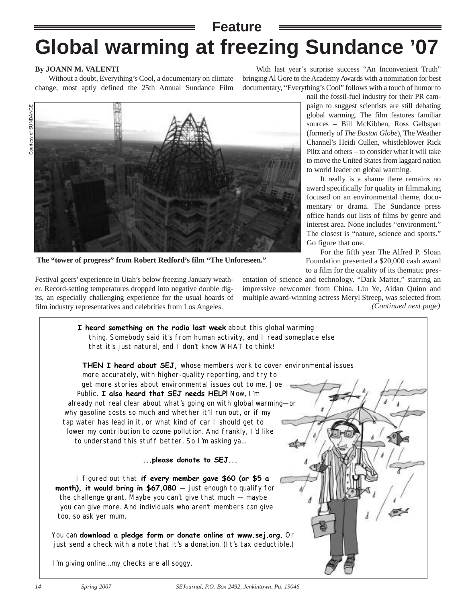## **Global warming at freezing Sundance '07 Feature**

#### **By JOANN M. VALENTI**

Without a doubt, Everything's Cool, a documentary on climate change, most aptly defined the 25th Annual Sundance Film

With last year's surprise success "An Inconvenient Truth" bringing Al Gore to the Academy Awards with a nomination for best documentary, "Everything's Cool" follows with a touch of humor to



nail the fossil-fuel industry for their PR campaign to suggest scientists are still debating global warming. The film features familiar sources – Bill McKibben, Ross Gelbspan (formerly of *The Boston Globe*), The Weather Channel's Heidi Cullen, whistleblower Rick Piltz and others – to consider what it will take to move the United States from laggard nation to world leader on global warming.

It really is a shame there remains no award specifically for quality in filmmaking focused on an environmental theme, documentary or drama. The Sundance press office hands out lists of films by genre and interest area. None includes "environment." The closest is "nature, science and sports." Go figure that one.

For the fifth year The Alfred P. Sloan Foundation presented a \$20,000 cash award to a film for the quality of its thematic pres-

**The "tower of progress" from Robert Redford's film "The Unforeseen."**

Festival goers' experience in Utah's below freezing January weather. Record-setting temperatures dropped into negative double digits, an especially challenging experience for the usual hoards of film industry representatives and celebrities from Los Angeles.

entation of science and technology. "Dark Matter," starring an impressive newcomer from China, Liu Ye, Aidan Quinn and multiple award-winning actress Meryl Streep, was selected from *(Continued next page)*

**I heard something on the radio last week** about this global warming thing. Somebody said it's from human activity, and I read someplace else that it's just natural, and I don't know WHAT to think!

**THEN I heard about SEJ,** whose members work to cover environmental issues more accurately, with higher-quality reporting, and try to get more stories about environmental issues out to me, Joe Public. **I also heard that SEJ needs HELP!** Now, I'm already not real clear about what's going on with global warming—or why gasoline costs so much and whether it'll run out, or if my tap water has lead in it, or what kind of car I should get to lower my contribution to ozone pollution. And frankly, I'd like to understand this stuff better. So I'm asking ya...

**...please donate to SEJ...**

I figured out that **if every member gave \$60 (or \$5 a month), it would bring in \$67,080** – just enough to qualify for the challenge grant. Maybe you can't give that much — maybe you can give more. And individuals who aren't members can give too, so ask yer mum.

You can **download a pledge form or donate online at www.sej.org.** Or just send a check with a note that it's a donation. (It's tax deductible.)

I'm giving online...my checks are all soggy.

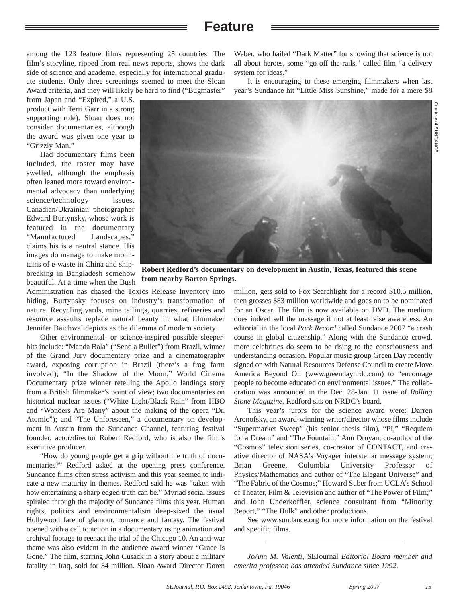### **Feature**

among the 123 feature films representing 25 countries. The film's storyline, ripped from real news reports, shows the dark side of science and academe, especially for international graduate students. Only three screenings seemed to meet the Sloan Award criteria, and they will likely be hard to find ("Bugmaster"

from Japan and "Expired," a U.S. product with Terri Garr in a strong supporting role). Sloan does not consider documentaries, although the award was given one year to "Grizzly Man."

Had documentary films been included, the roster may have swelled, although the emphasis often leaned more toward environmental advocacy than underlying science/technology issues. Canadian/Ukrainian photographer Edward Burtynsky, whose work is featured in the documentary "Manufactured Landscapes," claims his is a neutral stance. His images do manage to make mountains of e-waste in China and shipbreaking in Bangladesh somehow beautiful. At a time when the Bush

Weber, who hailed "Dark Matter" for showing that science is not all about heroes, some "go off the rails," called film "a delivery system for ideas."

It is encouraging to these emerging filmmakers when last year's Sundance hit "Little Miss Sunshine," made for a mere \$8

million, gets sold to Fox Searchlight for a record \$10.5 million, then grosses \$83 million worldwide and goes on to be nominated for an Oscar. The film is now available on DVD. The medium does indeed sell the message if not at least raise awareness. An editorial in the local *Park Record* called Sundance 2007 "a crash course in global citizenship." Along with the Sundance crowd, more celebrities do seem to be rising to the consciousness and **Robert Redford's documentary on development in Austin, Texas, featured this scene from nearby Barton Springs.**

Administration has chased the Toxics Release Inventory into hiding, Burtynsky focuses on industry's transformation of nature. Recycling yards, mine tailings, quarries, refineries and resource assaults replace natural beauty in what filmmaker Jennifer Baichwal depicts as the dilemma of modern society.

Other environmental- or science-inspired possible sleeperhits include: "Manda Bala" ("Send a Bullet") from Brazil, winner of the Grand Jury documentary prize and a cinematography award, exposing corruption in Brazil (there's a frog farm involved); "In the Shadow of the Moon," World Cinema Documentary prize winner retelling the Apollo landings story from a British filmmaker's point of view; two documentaries on historical nuclear issues ("White Light/Black Rain" from HBO and "Wonders Are Many" about the making of the opera "Dr. Atomic"); and "The Unforeseen," a documentary on development in Austin from the Sundance Channel, featuring festival founder, actor/director Robert Redford, who is also the film's executive producer.

"How do young people get a grip without the truth of documentaries?" Redford asked at the opening press conference. Sundance films often stress activism and this year seemed to indicate a new maturity in themes. Redford said he was "taken with how entertaining a sharp edged truth can be." Myriad social issues spiraled through the majority of Sundance films this year. Human rights, politics and environmentalism deep-sixed the usual Hollywood fare of glamour, romance and fantasy. The festival opened with a call to action in a documentary using animation and archival footage to reenact the trial of the Chicago 10. An anti-war theme was also evident in the audience award winner "Grace Is Gone." The film, starring John Cusack in a story about a military fatality in Iraq, sold for \$4 million. Sloan Award Director Doren

understanding occasion. Popular music group Green Day recently signed on with Natural Resources Defense Council to create Move America Beyond Oil (www.greendaynrdc.com) to "encourage people to become educated on environmental issues." The collaboration was announced in the Dec. 28-Jan. 11 issue of *Rolling Stone Magazine.* Redford sits on NRDC's board.

This year's jurors for the science award were: Darren Aronofsky, an award-winning writer/director whose films include "Supermarket Sweep" (his senior thesis film), "PI," "Requiem for a Dream" and "The Fountain;" Ann Druyan, co-author of the "Cosmos" television series, co-creator of CONTACT, and creative director of NASA's Voyager interstellar message system; Brian Greene, Columbia University Professor of Physics/Mathematics and author of "The Elegant Universe" and "The Fabric of the Cosmos;" Howard Suber from UCLA's School of Theater, Film & Television and author of "The Power of Film;" and John Underkoffler, science consultant from "Minority Report," "The Hulk" and other productions.

See www.sundance.org for more information on the festival and specific films.

*JoAnn M. Valenti,* SEJournal *Editorial Board member and emerita professor, has attended Sundance since 1992.* 

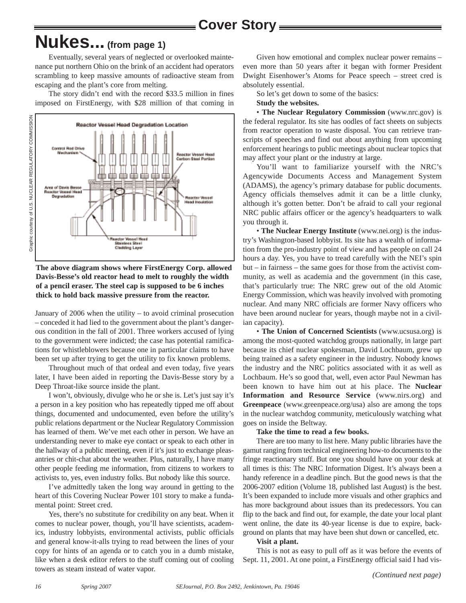**Cover Story**

## **Nukes... (from page 1)**

Eventually, several years of neglected or overlooked maintenance put northern Ohio on the brink of an accident had operators scrambling to keep massive amounts of radioactive steam from escaping and the plant's core from melting.

The story didn't end with the record \$33.5 million in fines imposed on FirstEnergy, with \$28 million of that coming in



**The above diagram shows where FirstEnergy Corp. allowed Davis-Besse's old reactor head to melt to roughly the width of a pencil eraser. The steel cap is supposed to be 6 inches thick to hold back massive pressure from the reactor.** 

January of 2006 when the utility – to avoid criminal prosecution – conceded it had lied to the government about the plant's dangerous condition in the fall of 2001. Three workers accused of lying to the government were indicted; the case has potential ramifications for whistleblowers because one in particular claims to have been set up after trying to get the utility to fix known problems.

Throughout much of that ordeal and even today, five years later, I have been aided in reporting the Davis-Besse story by a Deep Throat-like source inside the plant.

I won't, obviously, divulge who he or she is. Let's just say it's a person in a key position who has repeatedly tipped me off about things, documented and undocumented, even before the utility's public relations department or the Nuclear Regulatory Commission has learned of them. We've met each other in person. We have an understanding never to make eye contact or speak to each other in the hallway of a public meeting, even if it's just to exchange pleasantries or chit-chat about the weather. Plus, naturally, I have many other people feeding me information, from citizens to workers to activists to, yes, even industry folks. But nobody like this source.

I've admittedly taken the long way around in getting to the heart of this Covering Nuclear Power 101 story to make a fundamental point: Street cred.

Yes, there's no substitute for credibility on any beat. When it comes to nuclear power, though, you'll have scientists, academics, industry lobbyists, environmental activists, public officials and general know-it-alls trying to read between the lines of your copy for hints of an agenda or to catch you in a dumb mistake, like when a desk editor refers to the stuff coming out of cooling towers as steam instead of water vapor.

Given how emotional and complex nuclear power remains – even more than 50 years after it began with former President Dwight Eisenhower's Atoms for Peace speech – street cred is absolutely essential.

So let's get down to some of the basics:

**Study the websites.**

• **The Nuclear Regulatory Commission** (www.nrc.gov) is the federal regulator. Its site has oodles of fact sheets on subjects from reactor operation to waste disposal. You can retrieve transcripts of speeches and find out about anything from upcoming enforcement hearings to public meetings about nuclear topics that may affect your plant or the industry at large.

You'll want to familiarize yourself with the NRC's Agencywide Documents Access and Management System (ADAMS), the agency's primary database for public documents. Agency officials themselves admit it can be a little clunky, although it's gotten better. Don't be afraid to call your regional NRC public affairs officer or the agency's headquarters to walk you through it.

• **The Nuclear Energy Institute** (www.nei.org) is the industry's Washington-based lobbyist. Its site has a wealth of information from the pro-industry point of view and has people on call 24 hours a day. Yes, you have to tread carefully with the NEI's spin but – in fairness – the same goes for those from the activist community, as well as academia and the government (in this case, that's particularly true: The NRC grew out of the old Atomic Energy Commission, which was heavily involved with promoting nuclear. And many NRC officials are former Navy officers who have been around nuclear for years, though maybe not in a civilian capacity).

• **The Union of Concerned Scientists** (www.ucsusa.org) is among the most-quoted watchdog groups nationally, in large part because its chief nuclear spokesman, David Lochbaum, grew up being trained as a safety engineer in the industry. Nobody knows the industry and the NRC politics associated with it as well as Lochbaum. He's so good that, well, even actor Paul Newman has been known to have him out at his place. The **Nuclear Information and Resource Service** (www.nirs.org) and **Greenpeace** (www.greenpeace.org/usa) also are among the tops in the nuclear watchdog community, meticulously watching what goes on inside the Beltway.

#### **Take the time to read a few books.**

There are too many to list here. Many public libraries have the gamut ranging from technical engineering how-to documents to the fringe reactionary stuff. But one you should have on your desk at all times is this: The NRC Information Digest. It's always been a handy reference in a deadline pinch. But the good news is that the 2006-2007 edition (Volume 18, published last August) is the best. It's been expanded to include more visuals and other graphics and has more background about issues than its predecessors. You can flip to the back and find out, for example, the date your local plant went online, the date its 40-year license is due to expire, background on plants that may have been shut down or cancelled, etc.

#### **Visit a plant.**

This is not as easy to pull off as it was before the events of Sept. 11, 2001. At one point, a FirstEnergy official said I had vis-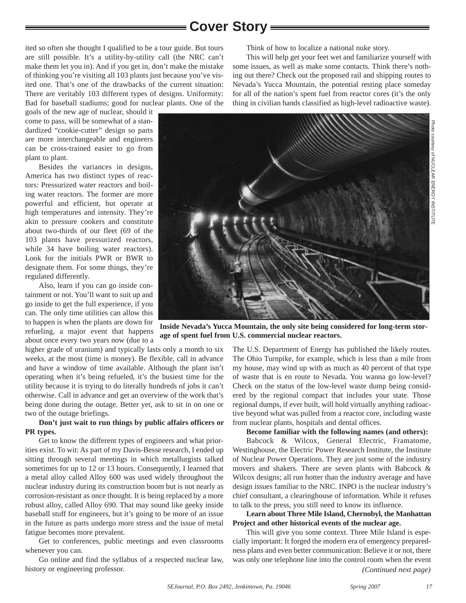### **Cover Story**

ited so often she thought I qualified to be a tour guide. But tours are still possible. It's a utility-by-utility call (the NRC can't make them let you in). And if you get in, don't make the mistake of thinking you're visiting all 103 plants just because you've visited one. That's one of the drawbacks of the current situation: There are veritably 103 different types of designs. Uniformity: Bad for baseball stadiums; good for nuclear plants. One of the

goals of the new age of nuclear, should it come to pass, will be somewhat of a standardized "cookie-cutter" design so parts are more interchangeable and engineers can be cross-trained easier to go from plant to plant.

Besides the variances in designs, America has two distinct types of reactors: Pressurized water reactors and boiling water reactors. The former are more powerful and efficient, but operate at high temperatures and intensity. They're akin to pressure cookers and constitute about two-thirds of our fleet (69 of the 103 plants have pressurized reactors, while 34 have boiling water reactors). Look for the initials PWR or BWR to designate them. For some things, they're regulated differently.

Also, learn if you can go inside containment or not. You'll want to suit up and go inside to get the full experience, if you can. The only time utilities can allow this to happen is when the plants are down for refueling, a major event that happens about once every two years now (due to a

higher grade of uranium) and typically lasts only a month to six weeks, at the most (time is money). Be flexible, call in advance and have a window of time available. Although the plant isn't operating when it's being refueled, it's the busiest time for the utility because it is trying to do literally hundreds of jobs it can't otherwise. Call in advance and get an overview of the work that's being done during the outage. Better yet, ask to sit in on one or two of the outage briefings.

#### **Don't just wait to run things by public affairs officers or PR types.**

Get to know the different types of engineers and what priorities exist. To wit: As part of my Davis-Besse research, I ended up sitting through several meetings in which metallurgists talked sometimes for up to 12 or 13 hours. Consequently, I learned that a metal alloy called Alloy 600 was used widely throughout the nuclear industry during its construction boom but is not nearly as corrosion-resistant as once thought. It is being replaced by a more robust alloy, called Alloy 690. That may sound like geeky inside baseball stuff for engineers, but it's going to be more of an issue in the future as parts undergo more stress and the issue of metal fatigue becomes more prevalent.

Get to conferences, public meetings and even classrooms whenever you can.

Go online and find the syllabus of a respected nuclear law, history or engineering professor.

Think of how to localize a national nuke story.

This will help get your feet wet and familiarize yourself with some issues, as well as make some contacts. Think there's nothing out there? Check out the proposed rail and shipping routes to Nevada's Yucca Mountain, the potential resting place someday for all of the nation's spent fuel from reactor cores (it's the only thing in civilian hands classified as high-level radioactive waste).





**Inside Nevada's Yucca Mountain, the only site being considered for long-term storage of spent fuel from U.S. commercial nuclear reactors.** 

The U.S. Department of Energy has published the likely routes. The Ohio Turnpike, for example, which is less than a mile from my house, may wind up with as much as 40 percent of that type of waste that is en route to Nevada. You wanna go low-level? Check on the status of the low-level waste dump being considered by the regional compact that includes your state. Those regional dumps, if ever built, will hold virtually anything radioactive beyond what was pulled from a reactor core, including waste from nuclear plants, hospitals and dental offices.

#### **Become familiar with the following names (and others):**

Babcock & Wilcox, General Electric, Framatome, Westinghouse, the Electric Power Research Institute, the Institute of Nuclear Power Operations. They are just some of the industry movers and shakers. There are seven plants with Babcock & Wilcox designs; all run hotter than the industry average and have design issues familiar to the NRC. INPO is the nuclear industry's chief consultant, a clearinghouse of information. While it refuses to talk to the press, you still need to know its influence.

**Learn about Three Mile Island, Chernobyl, the Manhattan Project and other historical events of the nuclear age.**

This will give you some context. Three Mile Island is especially important: It forged the modern era of emergency preparedness plans and even better communication: Believe it or not, there was only one telephone line into the control room when the event *(Continued next page)*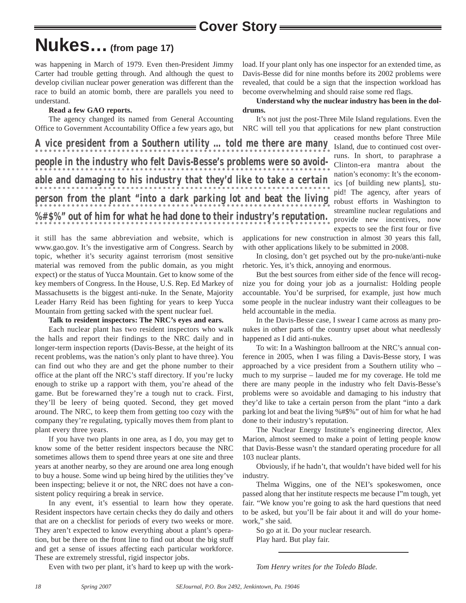# **Nukes…(from page 17)**

was happening in March of 1979. Even then-President Jimmy Carter had trouble getting through. And although the quest to develop civilian nuclear power generation was different than the race to build an atomic bomb, there are parallels you need to understand.

#### **Read a few GAO reports.**

The agency changed its named from General Accounting Office to Government Accountability Office a few years ago, but load. If your plant only has one inspector for an extended time, as Davis-Besse did for nine months before its 2002 problems were revealed, that could be a sign that the inspection workload has become overwhelming and should raise some red flags.

#### **Understand why the nuclear industry has been in the doldrums.**

It's not just the post-Three Mile Island regulations. Even the NRC will tell you that applications for new plant construction

**A vice president from a Southern utility … told me there are many people in the industry who felt Davis-Besse's problems were so avoidable and damaging to his industry that they'd like to take a certain person from the plant "into a dark parking lot and beat the living %#\$%" out of him for what he had done to their industry's reputation.**

ceased months before Three Mile Island, due to continued cost overruns. In short, to paraphrase a Clinton-era mantra about the nation's economy: It's the economics [of building new plants], stupid! The agency, after years of robust efforts in Washington to streamline nuclear regulations and provide new incentives, now expects to see the first four or five

it still has the same abbreviation and website, which is www.gao.gov. It's the investigative arm of Congress. Search by topic, whether it's security against terrorism (most sensitive material was removed from the public domain, as you might expect) or the status of Yucca Mountain. Get to know some of the key members of Congress. In the House, U.S. Rep. Ed Markey of Massachusetts is the biggest anti-nuke. In the Senate, Majority Leader Harry Reid has been fighting for years to keep Yucca Mountain from getting sacked with the spent nuclear fuel.

#### **Talk to resident inspectors: The NRC's eyes and ears.**

Each nuclear plant has two resident inspectors who walk the halls and report their findings to the NRC daily and in longer-term inspection reports (Davis-Besse, at the height of its recent problems, was the nation's only plant to have three). You can find out who they are and get the phone number to their office at the plant off the NRC's staff directory. If you're lucky enough to strike up a rapport with them, you're ahead of the game. But be forewarned they're a tough nut to crack. First, they'll be leery of being quoted. Second, they get moved around. The NRC, to keep them from getting too cozy with the company they're regulating, typically moves them from plant to plant every three years.

If you have two plants in one area, as I do, you may get to know some of the better resident inspectors because the NRC sometimes allows them to spend three years at one site and three years at another nearby, so they are around one area long enough to buy a house. Some wind up being hired by the utilities they've been inspecting; believe it or not, the NRC does not have a consistent policy requiring a break in service.

In any event, it's essential to learn how they operate. Resident inspectors have certain checks they do daily and others that are on a checklist for periods of every two weeks or more. They aren't expected to know everything about a plant's operation, but be there on the front line to find out about the big stuff and get a sense of issues affecting each particular workforce. These are extremely stressful, rigid inspector jobs.

Even with two per plant, it's hard to keep up with the work-

applications for new construction in almost 30 years this fall, with other applications likely to be submitted in 2008.

In closing, don't get psyched out by the pro-nuke/anti-nuke rhetoric. Yes, it's thick, annoying and enormous.

But the best sources from either side of the fence will recognize you for doing your job as a journalist: Holding people accountable. You'd be surprised, for example, just how much some people in the nuclear industry want their colleagues to be held accountable in the media.

In the Davis-Besse case, I swear I came across as many pronukes in other parts of the country upset about what needlessly happened as I did anti-nukes.

To wit: In a Washington ballroom at the NRC's annual conference in 2005, when I was filing a Davis-Besse story, I was approached by a vice president from a Southern utility who – much to my surprise – lauded me for my coverage. He told me there are many people in the industry who felt Davis-Besse's problems were so avoidable and damaging to his industry that they'd like to take a certain person from the plant "into a dark parking lot and beat the living %#\$%" out of him for what he had done to their industry's reputation.

The Nuclear Energy Institute's engineering director, Alex Marion, almost seemed to make a point of letting people know that Davis-Besse wasn't the standard operating procedure for all 103 nuclear plants.

Obviously, if he hadn't, that wouldn't have bided well for his industry.

Thelma Wiggins, one of the NEI's spokeswomen, once passed along that her institute respects me because I"m tough, yet fair. "We know you're going to ask the hard questions that need to be asked, but you'll be fair about it and will do your homework," she said.

So go at it. Do your nuclear research. Play hard. But play fair.

*Tom Henry writes for the Toledo Blade.*

*18*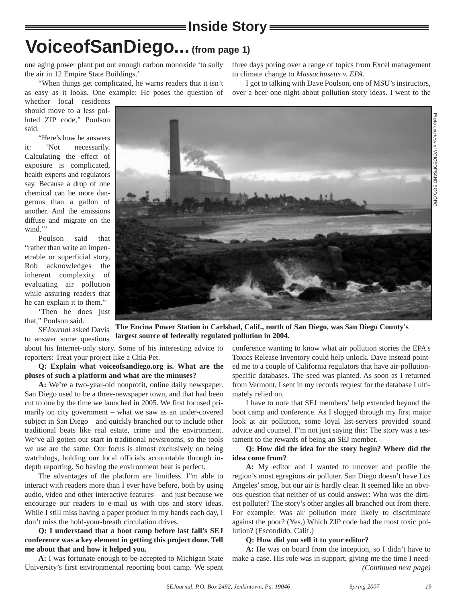**VoiceofSanDiego... (from page 1)**

**Inside Story**

one aging power plant put out enough carbon monoxide 'to sully the air in 12 Empire State Buildings.'

"When things get complicated, he warns readers that it isn't as easy as it looks. One example: He poses the question of

whether local residents should move to a less polluted ZIP code," Poulson said.

"Here's how he answers it: 'Not necessarily. Calculating the effect of exposure is complicated, health experts and regulators say. Because a drop of one chemical can be more dangerous than a gallon of another. And the emissions diffuse and migrate on the wind."

Poulson said that "rather than write an impenetrable or superficial story, Rob acknowledges the inherent complexity of evaluating air pollution while assuring readers that he can explain it to them."

'Then he does just that," Poulson said.

*SEJournal* asked Davis to answer some questions

about his Internet-only story. Some of his interesting advice to reporters: Treat your project like a Chia Pet.

**Q: Explain what voiceofsandiego.org is. What are the pluses of such a platform and what are the minuses?**

**A:** We're a two-year-old nonprofit, online daily newspaper. San Diego used to be a three-newspaper town, and that had been cut to one by the time we launched in 2005. We first focused primarily on city government – what we saw as an under-covered subject in San Diego – and quickly branched out to include other traditional beats like real estate, crime and the environment. We've all gotten our start in traditional newsrooms, so the tools we use are the same. Our focus is almost exclusively on being watchdogs, holding our local officials accountable through indepth reporting. So having the environment beat is perfect.

The advantages of the platform are limitless. I"m able to interact with readers more than I ever have before, both by using audio, video and other interactive features – and just because we encourage our readers to e-mail us with tips and story ideas. While I still miss having a paper product in my hands each day, I don't miss the hold-your-breath circulation drives.

**Q: I understand that a boot camp before last fall's SEJ conference was a key element in getting this project done. Tell me about that and how it helped you.** 

**A:** I was fortunate enough to be accepted to Michigan State University's first environmental reporting boot camp. We spent three days poring over a range of topics from Excel management to climate change to *Massachusetts v. EPA.* 

I got to talking with Dave Poulson, one of MSU's instructors,

over a beer one night about pollution story ideas. I went to the



conference wanting to know what air pollution stories the EPA's Toxics Release Inventory could help unlock. Dave instead pointed me to a couple of California regulators that have air-pollutionspecific databases. The seed was planted. As soon as I returned from Vermont, I sent in my records request for the database I ultimately relied on.

I have to note that SEJ members' help extended beyond the boot camp and conference. As I slogged through my first major look at air pollution, some loyal list-servers provided sound advice and counsel. I"m not just saying this: The story was a testament to the rewards of being an SEJ member.

#### **Q: How did the idea for the story begin? Where did the idea come from?**

**A:** My editor and I wanted to uncover and profile the region's most egregious air polluter. San Diego doesn't have Los Angeles' smog, but our air is hardly clear. It seemed like an obvious question that neither of us could answer: Who was the dirtiest polluter? The story's other angles all branched out from there. For example: Was air pollution more likely to discriminate against the poor? (Yes.) Which ZIP code had the most toxic pollution? (Escondido, Calif.)

#### **Q: How did you sell it to your editor?**

**A:** He was on board from the inception, so I didn't have to make a case. His role was in support, giving me the time I need-*(Continued next page)*

Photo

courtesy of

VOICEOFSANDIEGO.ORG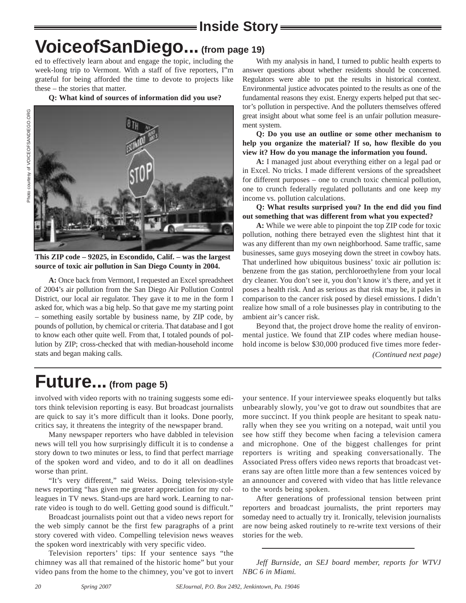## **Inside Story VoiceofSanDiego... (from page 19)**

ed to effectively learn about and engage the topic, including the week-long trip to Vermont. With a staff of five reporters, I"m grateful for being afforded the time to devote to projects like these – the stories that matter.

**Q: What kind of sources of information did you use?**



**This ZIP code – 92025, in Escondido, Calif. – was the largest source of toxic air pollution in San Diego County in 2004.**

**A:** Once back from Vermont, I requested an Excel spreadsheet of 2004's air pollution from the San Diego Air Pollution Control District, our local air regulator. They gave it to me in the form I asked for, which was a big help. So that gave me my starting point – something easily sortable by business name, by ZIP code, by pounds of pollution, by chemical or criteria. That database and I got to know each other quite well. From that, I totaled pounds of pollution by ZIP; cross-checked that with median-household income stats and began making calls.

With my analysis in hand, I turned to public health experts to answer questions about whether residents should be concerned. Regulators were able to put the results in historical context. Environmental justice advocates pointed to the results as one of the fundamental reasons they exist. Energy experts helped put that sector's pollution in perspective. And the polluters themselves offered great insight about what some feel is an unfair pollution measurement system.

**Q: Do you use an outline or some other mechanism to help you organize the material? If so, how flexible do you view it? How do you manage the information you found.**

**A:** I managed just about everything either on a legal pad or in Excel. No tricks. I made different versions of the spreadsheet for different purposes – one to crunch toxic chemical pollution, one to crunch federally regulated pollutants and one keep my income vs. pollution calculations.

**Q: What results surprised you? In the end did you find out something that was different from what you expected?**

**A:** While we were able to pinpoint the top ZIP code for toxic pollution, nothing there betrayed even the slightest hint that it was any different than my own neighborhood. Same traffic, same businesses, same guys moseying down the street in cowboy hats. That underlined how ubiquitous business' toxic air pollution is: benzene from the gas station, perchloroethylene from your local dry cleaner. You don't see it, you don't know it's there, and yet it poses a health risk. And as serious as that risk may be, it pales in comparison to the cancer risk posed by diesel emissions. I didn't realize how small of a role businesses play in contributing to the ambient air's cancer risk.

Beyond that, the project drove home the reality of environmental justice. We found that ZIP codes where median household income is below \$30,000 produced five times more feder-*(Continued next page)*

## **Future... (from page 5)**

involved with video reports with no training suggests some editors think television reporting is easy. But broadcast journalists are quick to say it's more difficult than it looks. Done poorly, critics say, it threatens the integrity of the newspaper brand.

Many newspaper reporters who have dabbled in television news will tell you how surprisingly difficult it is to condense a story down to two minutes or less, to find that perfect marriage of the spoken word and video, and to do it all on deadlines worse than print.

"It's very different," said Weiss. Doing television-style news reporting "has given me greater appreciation for my colleagues in TV news. Stand-ups are hard work. Learning to narrate video is tough to do well. Getting good sound is difficult."

Broadcast journalists point out that a video news report for the web simply cannot be the first few paragraphs of a print story covered with video. Compelling television news weaves the spoken word inextricably with very specific video.

Television reporters' tips: If your sentence says "the chimney was all that remained of the historic home" but your video pans from the home to the chimney, you've got to invert your sentence. If your interviewee speaks eloquently but talks unbearably slowly, you've got to draw out soundbites that are more succinct. If you think people are hesitant to speak naturally when they see you writing on a notepad, wait until you see how stiff they become when facing a television camera and microphone. One of the biggest challenges for print reporters is writing and speaking conversationally. The Associated Press offers video news reports that broadcast veterans say are often little more than a few sentences voiced by an announcer and covered with video that has little relevance to the words being spoken.

After generations of professional tension between print reporters and broadcast journalists, the print reporters may someday need to actually try it. Ironically, television journalists are now being asked routinely to re-write text versions of their stories for the web.

*Jeff Burnside, an SEJ board member, reports for WTVJ NBC 6 in Miami.*

*20*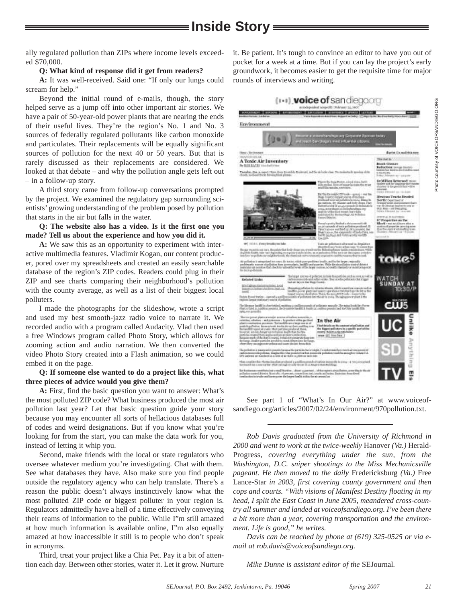**Inside Story**

ally regulated pollution than ZIPs where income levels exceeded \$70,000.

#### **Q: What kind of response did it get from readers?**

**A:** It was well-received. Said one: "If only our lungs could scream for help."

Beyond the initial round of e-mails, though, the story helped serve as a jump off into other important air stories. We have a pair of 50-year-old power plants that are nearing the ends of their useful lives. They're the region's No. 1 and No. 3 sources of federally regulated pollutants like carbon monoxide and particulates. Their replacements will be equally significant sources of pollution for the next 40 or 50 years. But that is rarely discussed as their replacements are considered. We looked at that debate – and why the pollution angle gets left out – in a follow-up story.

A third story came from follow-up conversations prompted by the project. We examined the regulatory gap surrounding scientists' growing understanding of the problem posed by pollution that starts in the air but falls in the water.

**Q: The website also has a video. Is it the first one you made? Tell us about the experience and how you did it.**

**A:** We saw this as an opportunity to experiment with interactive multimedia features. Vladimir Kogan, our content producer, pored over my spreadsheets and created an easily searchable database of the region's ZIP codes. Readers could plug in their ZIP and see charts comparing their neighborhood's pollution with the county average, as well as a list of their biggest local polluters.

I made the photographs for the slideshow, wrote a script and used my best smooth-jazz radio voice to narrate it. We recorded audio with a program called Audacity. Vlad then used a free Windows program called Photo Story, which allows for zooming action and audio narration. We then converted the video Photo Story created into a Flash animation, so we could embed it on the page.

#### **Q: If someone else wanted to do a project like this, what three pieces of advice would you give them?**

**A:** First, find the basic question you want to answer: What's the most polluted ZIP code? What business produced the most air pollution last year? Let that basic question guide your story because you may encounter all sorts of hellacious databases full of codes and weird designations. But if you know what you're looking for from the start, you can make the data work for you, instead of letting it whip you.

Second, make friends with the local or state regulators who oversee whatever medium you're investigating. Chat with them. See what databases they have. Also make sure you find people outside the regulatory agency who can help translate. There's a reason the public doesn't always instinctively know what the most polluted ZIP code or biggest polluter in your region is. Regulators admittedly have a hell of a time effectively conveying their reams of information to the public. While I"m still amazed at how much information is available online, I"m also equally amazed at how inaccessible it still is to people who don't speak in acronyms.

Third, treat your project like a Chia Pet. Pay it a bit of attention each day. Between other stories, water it. Let it grow. Nurture it. Be patient. It's tough to convince an editor to have you out of pocket for a week at a time. But if you can lay the project's early groundwork, it becomes easier to get the requisite time for major rounds of interviews and writing.



See part 1 of "What's In Our Air?" at www.voiceofsandiego.org/articles/2007/02/24/environment/970pollution.txt.

*Rob Davis graduated from the University of Richmond in 2000 and went to work at the twice-weekly* Hanover *(Va.)* Herald-Progress, *covering everything under the sun, from the Washington, D.C. sniper shootings to the Miss Mechanicsville pageant. He then moved to the daily* Fredericksburg *(Va.)* Free Lance-Star *in 2003, first covering county government and then cops and courts. "With visions of Manifest Destiny floating in my head, I split the East Coast in June 2005, meandered cross-country all summer and landed at voiceofsandiego.org. I've been there a bit more than a year, covering transportation and the environment. Life is good," he writes.*

*Davis can be reached by phone at (619) 325-0525 or via email at rob.davis@voiceofsandiego.org.*

*Mike Dunne is assistant editor of the* SEJournal*.*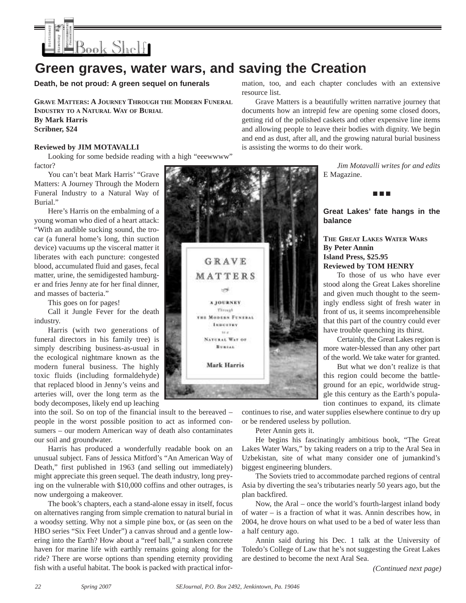

### **Green graves, water wars, and saving the Creation**

**Death, be not proud: A green sequel on funerals**

**GRAVE MATTERS: A JOURNEY THROUGH THE MODERN FUNERAL INDUSTRY TO A NATURAL WAY OF BURIAL By Mark Harris Scribner, \$24**

#### **Reviewed by JIM MOTAVALLI**

Looking for some bedside reading with a high "eeewwww" factor?

You can't beat Mark Harris' "Grave Matters: A Journey Through the Modern Funeral Industry to a Natural Way of Burial."

Here's Harris on the embalming of a young woman who died of a heart attack: "With an audible sucking sound, the trocar (a funeral home's long, thin suction device) vacuums up the visceral matter it liberates with each puncture: congested blood, accumulated fluid and gases, fecal matter, urine, the semidigested hamburger and fries Jenny ate for her final dinner, and masses of bacteria."

This goes on for pages!

Call it Jungle Fever for the death industry.

Harris (with two generations of funeral directors in his family tree) is simply describing business-as-usual in the ecological nightmare known as the modern funeral business. The highly toxic fluids (including formaldehyde) that replaced blood in Jenny's veins and arteries will, over the long term as the body decomposes, likely end up leaching

into the soil. So on top of the financial insult to the bereaved – people in the worst possible position to act as informed consumers – our modern American way of death also contaminates our soil and groundwater.

Harris has produced a wonderfully readable book on an unusual subject. Fans of Jessica Mitford's "An American Way of Death," first published in 1963 (and selling out immediately) might appreciate this green sequel. The death industry, long preying on the vulnerable with \$10,000 coffins and other outrages, is now undergoing a makeover.

The book's chapters, each a stand-alone essay in itself, focus on alternatives ranging from simple cremation to natural burial in a woodsy setting. Why not a simple pine box, or (as seen on the HBO series "Six Feet Under") a canvas shroud and a gentle lowering into the Earth? How about a "reef ball," a sunken concrete haven for marine life with earthly remains going along for the ride? There are worse options than spending eternity providing fish with a useful habitat. The book is packed with practical information, too, and each chapter concludes with an extensive resource list.

Grave Matters is a beautifully written narrative journey that documents how an intrepid few are opening some closed doors, getting rid of the polished caskets and other expensive line items and allowing people to leave their bodies with dignity. We begin and end as dust, after all, and the growing natural burial business is assisting the worms to do their work.

> *Jim Motavalli writes for and edits* E Magazine.

■ ■ ■

**Great Lakes' fate hangs in the balance**

#### **THE GREAT LAKES WATER WARS By Peter Annin Island Press, \$25.95 Reviewed by TOM HENRY**

To those of us who have ever stood along the Great Lakes shoreline and given much thought to the seemingly endless sight of fresh water in front of us, it seems incomprehensible that this part of the country could ever have trouble quenching its thirst.

Certainly, the Great Lakes region is more water-blessed than any other part of the world. We take water for granted.

But what we don't realize is that this region could become the battleground for an epic, worldwide struggle this century as the Earth's population continues to expand, its climate

continues to rise, and water supplies elsewhere continue to dry up or be rendered useless by pollution.

Peter Annin gets it.

He begins his fascinatingly ambitious book, "The Great Lakes Water Wars," by taking readers on a trip to the Aral Sea in Uzbekistan, site of what many consider one of jumankind's biggest engineering blunders.

The Soviets tried to accommodate parched regions of central Asia by diverting the sea's tributaries nearly 50 years ago, but the plan backfired.

Now, the Aral – once the world's fourth-largest inland body of water – is a fraction of what it was. Annin describes how, in 2004, he drove hours on what used to be a bed of water less than a half century ago.

Annin said during his Dec. 1 talk at the University of Toledo's College of Law that he's not suggesting the Great Lakes are destined to become the next Aral Sea.

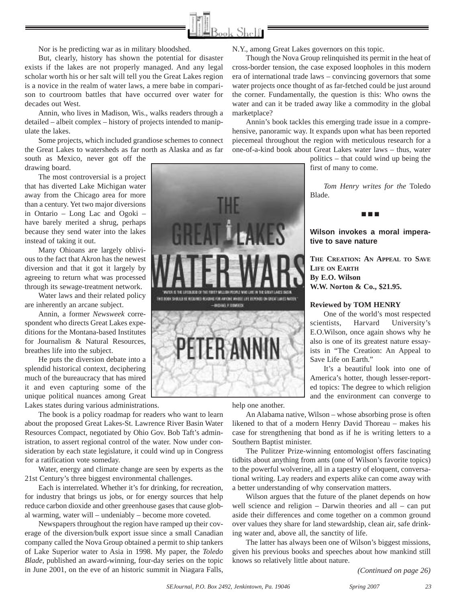

this are the internal party of the treaty of Adams

FINIS BOOK SHOULD BE INSOLVADO ALABANE FOR ANYONE WHISTE LIFE ISEMENTS ON BALAF LIAES WATER INGERAL PIDOMERO

PETER ANNI

Nor is he predicting war as in military bloodshed.

But, clearly, history has shown the potential for disaster exists if the lakes are not properly managed. And any legal scholar worth his or her salt will tell you the Great Lakes region is a novice in the realm of water laws, a mere babe in comparison to courtroom battles that have occurred over water for decades out West.

Annin, who lives in Madison, Wis., walks readers through a detailed – albeit complex – history of projects intended to manipulate the lakes.

Some projects, which included grandiose schemes to connect the Great Lakes to watersheds as far north as Alaska and as far south as Mexico, never got off the

drawing board.

The most controversial is a project that has diverted Lake Michigan water away from the Chicago area for more than a century. Yet two major diversions in Ontario – Long Lac and Ogoki – have barely merited a shrug, perhaps because they send water into the lakes instead of taking it out.

Many Ohioans are largely oblivious to the fact that Akron has the newest diversion and that it got it largely by agreeing to return what was processed through its sewage-treatment network.

Water laws and their related policy are inherently an arcane subject.

Annin, a former *Newsweek* correspondent who directs Great Lakes expeditions for the Montana-based Institutes for Journalism & Natural Resources, breathes life into the subject.

He puts the diversion debate into a splendid historical context, deciphering much of the bureaucracy that has mired it and even capturing some of the unique political nuances among Great Lakes states during various administrations.

The book is a policy roadmap for readers who want to learn about the proposed Great Lakes-St. Lawrence River Basin Water Resources Compact, negotiated by Ohio Gov. Bob Taft's administration, to assert regional control of the water. Now under consideration by each state legislature, it could wind up in Congress for a ratification vote someday.

Water, energy and climate change are seen by experts as the 21st Century's three biggest environmental challenges.

Each is interrelated. Whether it's for drinking, for recreation, for industry that brings us jobs, or for energy sources that help reduce carbon dioxide and other greenhouse gases that cause global warming, water will – undeniably – become more coveted.

Newspapers throughout the region have ramped up their coverage of the diversion/bulk export issue since a small Canadian company called the Nova Group obtained a permit to ship tankers of Lake Superior water to Asia in 1998. My paper, the *Toledo Blade*, published an award-winning, four-day series on the topic in June 2001, on the eve of an historic summit in Niagara Falls, N.Y., among Great Lakes governors on this topic.

Though the Nova Group relinquished its permit in the heat of cross-border tension, the case exposed loopholes in this modern era of international trade laws – convincing governors that some water projects once thought of as far-fetched could be just around the corner. Fundamentally, the question is this: Who owns the water and can it be traded away like a commodity in the global marketplace?

Annin's book tackles this emerging trade issue in a comprehensive, panoramic way. It expands upon what has been reported piecemeal throughout the region with meticulous research for a one-of-a-kind book about Great Lakes water laws – thus, water

> politics – that could wind up being the first of many to come.

*Tom Henry writes for the* Toledo Blade.

■ ■ ■

#### **Wilson invokes a moral imperative to save nature**

**THE CREATION: AN APPEAL TO SAVE LIFE ON EARTH By E.O. Wilson W.W. Norton & Co., \$21.95.**

#### **Reviewed by TOM HENRY**

One of the world's most respected scientists, Harvard University's E.O.Wilson, once again shows why he also is one of its greatest nature essayists in "The Creation: An Appeal to Save Life on Earth."

It's a beautiful look into one of America's hotter, though lesser-reported topics: The degree to which religion and the environment can converge to

help one another.

(BA ROOM A NAME LINE OF THE CONTROL AND COMPA

An Alabama native, Wilson – whose absorbing prose is often likened to that of a modern Henry David Thoreau – makes his case for strengthening that bond as if he is writing letters to a Southern Baptist minister.

The Pulitzer Prize-winning entomologist offers fascinating tidbits about anything from ants (one of Wilson's favorite topics) to the powerful wolverine, all in a tapestry of eloquent, conversational writing. Lay readers and experts alike can come away with a better understanding of why conservation matters.

Wilson argues that the future of the planet depends on how well science and religion – Darwin theories and all – can put aside their differences and come together on a common ground over values they share for land stewardship, clean air, safe drinking water and, above all, the sanctity of life.

The latter has always been one of Wilson's biggest missions, given his previous books and speeches about how mankind still knows so relatively little about nature.

*(Continued on page 26)*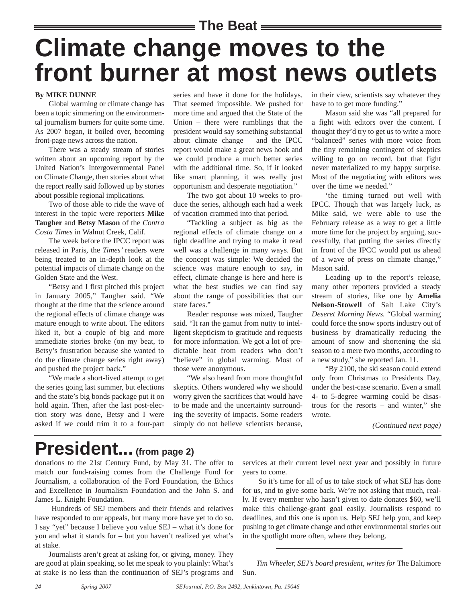### **The Beat**

# **Climate change moves to the front burner at most news outlets**

#### **By MIKE DUNNE**

Global warming or climate change has been a topic simmering on the environmental journalism burners for quite some time. As 2007 began, it boiled over, becoming front-page news across the nation.

There was a steady stream of stories written about an upcoming report by the United Nation's Intergovernmental Panel on Climate Change, then stories about what the report really said followed up by stories about possible regional implications.

Two of those able to ride the wave of interest in the topic were reporters **Mike Taugher** and **Betsy Mason** of the *Contra Costa Times* in Walnut Creek, Calif.

The week before the IPCC report was released in Paris, the *Times'* readers were being treated to an in-depth look at the potential impacts of climate change on the Golden State and the West.

"Betsy and I first pitched this project in January 2005," Taugher said. "We thought at the time that the science around the regional effects of climate change was mature enough to write about. The editors liked it, but a couple of big and more immediate stories broke (on my beat, to Betsy's frustration because she wanted to do the climate change series right away) and pushed the project back."

"We made a short-lived attempt to get the series going last summer, but elections and the state's big bonds package put it on hold again. Then, after the last post-election story was done, Betsy and I were asked if we could trim it to a four-part

series and have it done for the holidays. That seemed impossible. We pushed for more time and argued that the State of the Union – there were rumblings that the president would say something substantial about climate change – and the IPCC report would make a great news hook and we could produce a much better series with the additional time. So, if it looked like smart planning, it was really just opportunism and desperate negotiation."

The two got about 10 weeks to produce the series, although each had a week of vacation crammed into that period.

"Tackling a subject as big as the regional effects of climate change on a tight deadline and trying to make it read well was a challenge in many ways. But the concept was simple: We decided the science was mature enough to say, in effect, climate change is here and here is what the best studies we can find say about the range of possibilities that our state faces."

Reader response was mixed, Taugher said. "It ran the gamut from nutty to intelligent skepticism to gratitude and requests for more information. We got a lot of predictable heat from readers who don't "believe" in global warming. Most of those were anonymous.

"We also heard from more thoughtful skeptics. Others wondered why we should worry given the sacrifices that would have to be made and the uncertainty surrounding the severity of impacts. Some readers simply do not believe scientists because,

in their view, scientists say whatever they have to to get more funding."

Mason said she was "all prepared for a fight with editors over the content. I thought they'd try to get us to write a more "balanced" series with more voice from the tiny remaining contingent of skeptics willing to go on record, but that fight never materialized to my happy surprise. Most of the negotiating with editors was over the time we needed."

'the timing turned out well with IPCC. Though that was largely luck, as Mike said, we were able to use the February release as a way to get a little more time for the project by arguing, successfully, that putting the series directly in front of the IPCC would put us ahead of a wave of press on climate change," Mason said.

Leading up to the report's release, many other reporters provided a steady stream of stories, like one by **Amelia Nelson-Stowell** of Salt Lake City's *Deseret Morning News.* "Global warming could force the snow sports industry out of business by dramatically reducing the amount of snow and shortening the ski season to a mere two months, according to a new study," she reported Jan. 11.

"By 2100, the ski season could extend only from Christmas to Presidents Day, under the best-case scenario. Even a small 4- to 5-degree warming could be disastrous for the resorts – and winter," she wrote.

*(Continued next page)*

## **President... (from page 2)**

donations to the 21st Century Fund, by May 31. The offer to match our fund-raising comes from the Challenge Fund for Journalism, a collaboration of the Ford Foundation, the Ethics and Excellence in Journalism Foundation and the John S. and James L. Knight Foundation.

Hundreds of SEJ members and their friends and relatives have responded to our appeals, but many more have yet to do so. I say "yet" because I believe you value SEJ – what it's done for you and what it stands for – but you haven't realized yet what's at stake.

Journalists aren't great at asking for, or giving, money. They are good at plain speaking, so let me speak to you plainly: What's at stake is no less than the continuation of SEJ's programs and services at their current level next year and possibly in future years to come.

So it's time for all of us to take stock of what SEJ has done for us, and to give some back. We're not asking that much, really. If every member who hasn't given to date donates \$60, we'll make this challenge-grant goal easily. Journalists respond to deadlines, and this one is upon us. Help SEJ help you, and keep pushing to get climate change and other environmental stories out in the spotlight more often, where they belong.

*Tim Wheeler, SEJ's board president, writes for* The Baltimore Sun.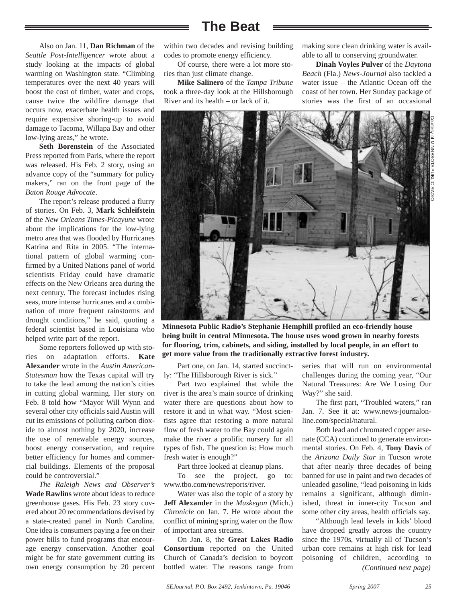### **The Beat**

Also on Jan. 11, **Dan Richman** of the *Seattle Post-Intelligencer* wrote about a study looking at the impacts of global warming on Washington state. "Climbing temperatures over the next 40 years will boost the cost of timber, water and crops, cause twice the wildfire damage that occurs now, exacerbate health issues and require expensive shoring-up to avoid damage to Tacoma, Willapa Bay and other low-lying areas," he wrote.

**Seth Borenstein** of the Associated Press reported from Paris, where the report was released. His Feb. 2 story, using an advance copy of the "summary for policy makers," ran on the front page of the *Baton Rouge Advocate*.

The report's release produced a flurry of stories. On Feb. 3, **Mark Schleifstein** of the *New Orleans Times-Picayune* wrote about the implications for the low-lying metro area that was flooded by Hurricanes Katrina and Rita in 2005. "The international pattern of global warming confirmed by a United Nations panel of world scientists Friday could have dramatic effects on the New Orleans area during the next century. The forecast includes rising seas, more intense hurricanes and a combination of more frequent rainstorms and drought conditions," he said, quoting a federal scientist based in Louisiana who helped write part of the report.

Some reporters followed up with stories on adaptation efforts. **Kate Alexander** wrote in the *Austin American-Statesman* how the Texas capital will try to take the lead among the nation's cities in cutting global warming. Her story on Feb. 8 told how "Mayor Will Wynn and several other city officials said Austin will cut its emissions of polluting carbon dioxide to almost nothing by 2020, increase the use of renewable energy sources, boost energy conservation, and require better efficiency for homes and commercial buildings. Elements of the proposal could be controversial."

*The Raleigh News and Observer's* **Wade Rawlins** wrote about ideas to reduce greenhouse gases. His Feb. 23 story covered about 20 recommendations devised by a state-created panel in North Carolina. One idea is consumers paying a fee on their power bills to fund programs that encourage energy conservation. Another goal might be for state government cutting its own energy consumption by 20 percent

within two decades and revising building codes to promote energy efficiency.

Of course, there were a lot more stories than just climate change.

**Mike Salinero** of the *Tampa Tribune* took a three-day look at the Hillsborough River and its health – or lack of it.

making sure clean drinking water is available to all to conserving groundwater.

**Dinah Voyles Pulver** of the *Daytona Beach* (Fla.) *News-Journal* also tackled a water issue – the Atlantic Ocean off the coast of her town. Her Sunday package of stories was the first of an occasional



**Minnesota Public Radio's Stephanie Hemphill profiled an eco-friendly house being built in central Minnesota. The house uses wood grown in nearby forests for flooring, trim, cabinets, and siding, installed by local people, in an effort to get more value from the traditionally extractive forest industry.** 

Part one, on Jan. 14, started succinctly: "The Hillsborough River is sick."

Part two explained that while the river is the area's main source of drinking water there are questions about how to restore it and in what way. "Most scientists agree that restoring a more natural flow of fresh water to the Bay could again make the river a prolific nursery for all types of fish. The question is: How much fresh water is enough?"

Part three looked at cleanup plans.

To see the project, go to: www.tbo.com/news/reports/river.

Water was also the topic of a story by **Jeff Alexander** in the *Muskegon* (Mich.) *Chronicle* on Jan. 7. He wrote about the conflict of mining spring water on the flow of important area streams.

On Jan. 8, the **Great Lakes Radio Consortium** reported on the United Church of Canada's decision to boycott bottled water. The reasons range from

series that will run on environmental challenges during the coming year, "Our Natural Treasures: Are We Losing Our Way?" she said.

The first part, "Troubled waters," ran Jan. 7. See it at: www.news-journalonline.com/special/natural.

Both lead and chromated copper arsenate (CCA) continued to generate environmental stories. On Feb. 4, **Tony Davis** of the *Arizona Daily Star* in Tucson wrote that after nearly three decades of being banned for use in paint and two decades of unleaded gasoline, "lead poisoning in kids remains a significant, although diminished, threat in inner-city Tucson and some other city areas, health officials say.

"Although lead levels in kids' blood have dropped greatly across the country since the 1970s, virtually all of Tucson's urban core remains at high risk for lead poisoning of children, according to *(Continued next page)*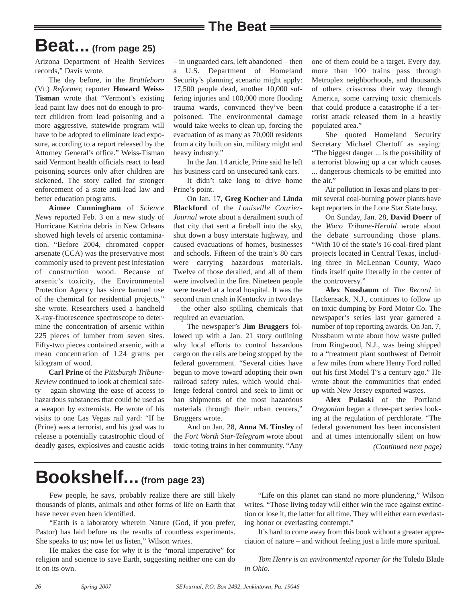# **Beat... (from page 25)**

Arizona Department of Health Services records," Davis wrote.

The day before, in the *Brattleboro* (Vt.) *Reformer,* reporter **Howard Weiss-Tisman** wrote that "Vermont's existing lead paint law does not do enough to protect children from lead poisoning and a more aggressive, statewide program will have to be adopted to eliminate lead exposure, according to a report released by the Attorney General's office." Weiss-Tisman said Vermont health officials react to lead poisoning sources only after children are sickened. The story called for stronger enforcement of a state anti-lead law and better education programs.

**Aimee Cunningham** of *Science News* reported Feb. 3 on a new study of Hurricane Katrina debris in New Orleans showed high levels of arsenic contamination. "Before 2004, chromated copper arsenate (CCA) was the preservative most commonly used to prevent pest infestation of construction wood. Because of arsenic's toxicity, the Environmental Protection Agency has since banned use of the chemical for residential projects," she wrote. Researchers used a handheld X-ray-fluorescence spectroscope to determine the concentration of arsenic within 225 pieces of lumber from seven sites. Fifty-two pieces contained arsenic, with a mean concentration of 1.24 grams per kilogram of wood.

**Carl Prine** of the *Pittsburgh Tribune-Review* continued to look at chemical safety – again showing the ease of access to hazardous substances that could be used as a weapon by extremists. He wrote of his visits to one Las Vegas rail yard: "If he (Prine) was a terrorist, and his goal was to release a potentially catastrophic cloud of deadly gases, explosives and caustic acids – in unguarded cars, left abandoned – then a U.S. Department of Homeland Security's planning scenario might apply: 17,500 people dead, another 10,000 suffering injuries and 100,000 more flooding trauma wards, convinced they've been poisoned. The environmental damage would take weeks to clean up, forcing the evacuation of as many as 70,000 residents from a city built on sin, military might and heavy industry."

In the Jan. 14 article, Prine said he left his business card on unsecured tank cars.

It didn't take long to drive home Prine's point.

On Jan. 17, **Greg Kocher** and **Linda Blackford** of the *Louisville Courier-Journal* wrote about a derailment south of that city that sent a fireball into the sky, shut down a busy interstate highway, and caused evacuations of homes, businesses and schools. Fifteen of the train's 80 cars were carrying hazardous materials. Twelve of those derailed, and all of them were involved in the fire. Nineteen people were treated at a local hospital. It was the second train crash in Kentucky in two days – the other also spilling chemicals that required an evacuation.

The newspaper's **Jim Bruggers** followed up with a Jan. 21 story outlining why local efforts to control hazardous cargo on the rails are being stopped by the federal government. "Several cities have begun to move toward adopting their own railroad safety rules, which would challenge federal control and seek to limit or ban shipments of the most hazardous materials through their urban centers," Bruggers wrote.

And on Jan. 28, **Anna M. Tinsley** of the *Fort Worth Star-Telegram* wrote about toxic-toting trains in her community. "Any one of them could be a target. Every day, more than 100 trains pass through Metroplex neighborhoods, and thousands of others crisscross their way through America, some carrying toxic chemicals that could produce a catastrophe if a terrorist attack released them in a heavily populated area."

She quoted Homeland Security Secretary Michael Chertoff as saying: "The biggest danger ... is the possibility of a terrorist blowing up a car which causes ... dangerous chemicals to be emitted into the air."

Air pollution in Texas and plans to permit several coal-burning power plants have kept reporters in the Lone Star State busy.

On Sunday, Jan. 28, **David Doerr** of the *Waco Tribune-Herald* wrote about the debate surrounding those plans. "With 10 of the state's 16 coal-fired plant projects located in Central Texas, including three in McLennan County, Waco finds itself quite literally in the center of the controversy."

**Alex Nussbaum** of *The Record* in Hackensack, N.J., continues to follow up on toxic dumping by Ford Motor Co. The newspaper's series last year garnered a number of top reporting awards. On Jan. 7, Nussbaum wrote about how waste pulled from Ringwood, N.J., was being shipped to a "treatment plant southwest of Detroit a few miles from where Henry Ford rolled out his first Model T's a century ago." He wrote about the communities that ended up with New Jersey exported wastes.

**Alex Pulaski** of the Portland *Oregonian* began a three-part series looking at the regulation of perchlorate. "The federal government has been inconsistent and at times intentionally silent on how *(Continued next page)*

## **Bookshelf... (from page 23)**

Few people, he says, probably realize there are still likely thousands of plants, animals and other forms of life on Earth that have never even been identified.

"Earth is a laboratory wherein Nature (God, if you prefer, Pastor) has laid before us the results of countless experiments. She speaks to us; now let us listen," Wilson writes.

He makes the case for why it is the "moral imperative" for religion and science to save Earth, suggesting neither one can do it on its own.

"Life on this planet can stand no more plundering," Wilson writes. "Those living today will either win the race against extinction or lose it, the latter for all time. They will either earn everlasting honor or everlasting contempt."

It's hard to come away from this book without a greater appreciation of nature – and without feeling just a little more spiritual.

*Tom Henry is an environmental reporter for the* Toledo Blade *in Ohio.*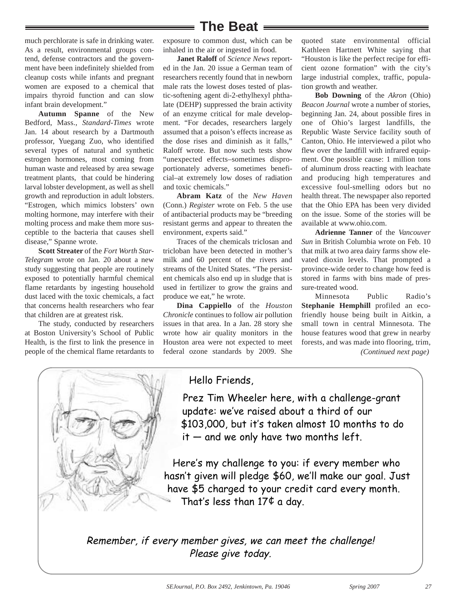## **The Beat**

much perchlorate is safe in drinking water. As a result, environmental groups contend, defense contractors and the government have been indefinitely shielded from cleanup costs while infants and pregnant women are exposed to a chemical that impairs thyroid function and can slow infant brain development."

**Autumn Spanne** of the New Bedford, Mass., *Standard-Times* wrote Jan. 14 about research by a Dartmouth professor, Yuegang Zuo, who identified several types of natural and synthetic estrogen hormones, most coming from human waste and released by area sewage treatment plants, that could be hindering larval lobster development, as well as shell growth and reproduction in adult lobsters. "Estrogen, which mimics lobsters' own molting hormone, may interfere with their molting process and make them more susceptible to the bacteria that causes shell disease," Spanne wrote.

**Scott Streater** of the *Fort Worth Star-Telegram* wrote on Jan. 20 about a new study suggesting that people are routinely exposed to potentially harmful chemical flame retardants by ingesting household dust laced with the toxic chemicals, a fact that concerns health researchers who fear that children are at greatest risk.

The study, conducted by researchers at Boston University's School of Public Health, is the first to link the presence in people of the chemical flame retardants to

exposure to common dust, which can be inhaled in the air or ingested in food.

**Janet Raloff** of *Science News* reported in the Jan. 20 issue a German team of researchers recently found that in newborn male rats the lowest doses tested of plastic-softening agent di-2-ethylhexyl phthalate (DEHP) suppressed the brain activity of an enzyme critical for male development. "For decades, researchers largely assumed that a poison's effects increase as the dose rises and diminish as it falls," Raloff wrote. But now such tests show "unexpected effects–sometimes disproportionately adverse, sometimes beneficial–at extremely low doses of radiation and toxic chemicals."

**Abram Katz** of the *New Haven* (Conn.) *Register* wrote on Feb. 5 the use of antibacterial products may be "breeding resistant germs and appear to threaten the environment, experts said."

Traces of the chemicals triclosan and tricloban have been detected in mother's milk and 60 percent of the rivers and streams of the United States. "The persistent chemicals also end up in sludge that is used in fertilizer to grow the grains and produce we eat," he wrote.

**Dina Cappiello** of the *Houston Chronicle* continues to follow air pollution issues in that area. In a Jan. 28 story she wrote how air quality monitors in the Houston area were not expected to meet federal ozone standards by 2009. She quoted state environmental official Kathleen Hartnett White saying that "Houston is like the perfect recipe for efficient ozone formation" with the city's large industrial complex, traffic, population growth and weather.

**Bob Downing** of the *Akron* (Ohio) *Beacon Journal* wrote a number of stories, beginning Jan. 24, about possible fires in one of Ohio's largest landfills, the Republic Waste Service facility south of Canton, Ohio. He interviewed a pilot who flew over the landfill with infrared equipment. One possible cause: 1 million tons of aluminum dross reacting with leachate and producing high temperatures and excessive foul-smelling odors but no health threat. The newspaper also reported that the Ohio EPA has been very divided on the issue. Some of the stories will be available at www.ohio.com.

**Adrienne Tanner** of the *Vancouver Sun* in British Columbia wrote on Feb. 10 that milk at two area dairy farms show elevated dioxin levels. That prompted a province-wide order to change how feed is stored in farms with bins made of pressure-treated wood.

Minnesota Public Radio's **Stephanie Hemphill** profiled an ecofriendly house being built in Aitkin, a small town in central Minnesota. The house features wood that grew in nearby forests, and was made into flooring, trim, *(Continued next page)*



### Hello Friends,

Prez Tim Wheeler here, with a challenge-grant update: we've raised about a third of our \$103,000, but it's taken almost 10 months to do  $it$  — and we only have two months left.

Here's my challenge to you: if every member who hasn't given will pledge \$60, we'll make our goal. Just have \$5 charged to your credit card every month. That's less than  $17¢$  a day.

Remember, if every member gives, we can meet the challenge! Please give today.